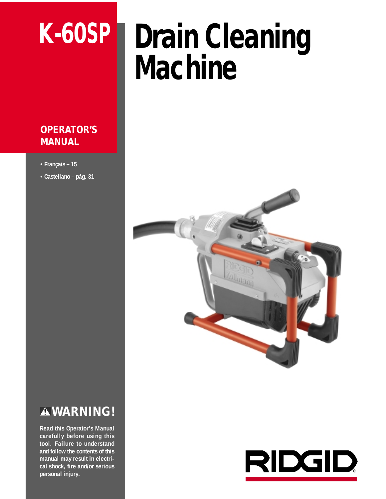# **K-60SP**

# **OPERATOR'S MANUAL**

- **Français 15**
- **Castellano pág. 31**

# **Drain Cleaning Machine**



# **WARNING!**

**Read this Operator's Manual carefully before using this tool. Failure to understand and follow the contents of this manual may result in electrical shock, fire and/or serious personal injury.**

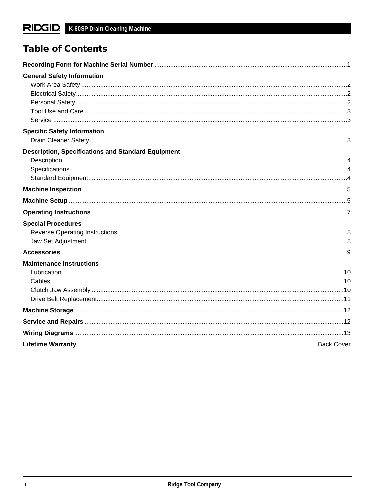# **Table of Contents**

| <b>General Safety Information</b>                         |  |
|-----------------------------------------------------------|--|
|                                                           |  |
|                                                           |  |
|                                                           |  |
|                                                           |  |
|                                                           |  |
| <b>Specific Safety Information</b>                        |  |
|                                                           |  |
| <b>Description, Specifications and Standard Equipment</b> |  |
|                                                           |  |
|                                                           |  |
|                                                           |  |
|                                                           |  |
|                                                           |  |
|                                                           |  |
| <b>Special Procedures</b>                                 |  |
|                                                           |  |
|                                                           |  |
|                                                           |  |
| <b>Maintenance Instructions</b>                           |  |
|                                                           |  |
|                                                           |  |
|                                                           |  |
|                                                           |  |
|                                                           |  |
|                                                           |  |
|                                                           |  |
|                                                           |  |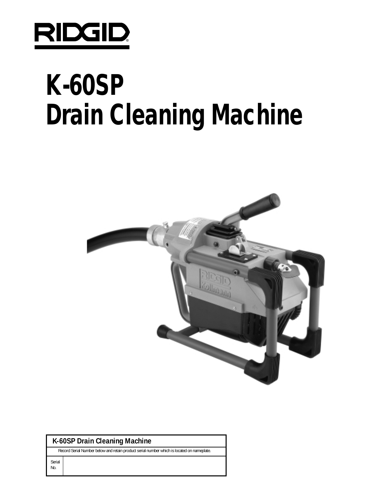

# **K-60SP Drain Cleaning Machine**



### **K-60SP Drain Cleaning Machine**

Record Serial Number below and retain product serial number which is located on nameplate.

Serial No.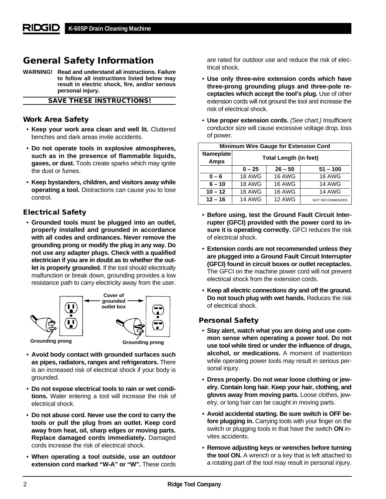# **General Safety Information**

**WARNING! Read and understand all instructions. Failure to follow all instructions listed below may result in electric shock, fire, and/or serious personal injury.**

#### **SAVE THESE INSTRUCTIONS!**

#### **Work Area Safety**

- **Keep your work area clean and well lit.** Cluttered benches and dark areas invite accidents.
- **Do not operate tools in explosive atmospheres, such as in the presence of flammable liquids, gases, or dust.** Tools create sparks which may ignite the dust or fumes.
- **Keep bystanders, children, and visitors away while operating a tool.** Distractions can cause you to lose control.

#### **Electrical Safety**

• **Grounded tools must be plugged into an outlet, properly installed and grounded in accordance with all codes and ordinances. Never remove the grounding prong or modify the plug in any way. Do not use any adapter plugs. Check with a qualified electrician if you are in doubt as to whether the outlet is properly grounded.** If the tool should electrically malfunction or break down, grounding provides a low resistance path to carry electricity away from the user.



- **Avoid body contact with grounded surfaces such as pipes, radiators, ranges and refrigerators.** There is an increased risk of electrical shock if your body is grounded.
- **Do not expose electrical tools to rain or wet conditions.** Water entering a tool will increase the risk of electrical shock.
- **Do not abuse cord. Never use the cord to carry the tools or pull the plug from an outlet. Keep cord away from heat, oil, sharp edges or moving parts. Replace damaged cords immediately.** Damaged cords increase the risk of electrical shock.
- **When operating a tool outside, use an outdoor extension cord marked "W-A" or "W".** These cords

are rated for outdoor use and reduce the risk of electrical shock.

- **Use only three-wire extension cords which have three-prong grounding plugs and three-pole receptacles which accept the tool's plug.** Use of other extension cords will not ground the tool and increase the risk of electrical shock.
- **Use proper extension cords.** (See chart.) Insufficient conductor size will cause excessive voltage drop, loss of power.

| Minimum Wire Gauge for Extension Cord |                               |               |                 |
|---------------------------------------|-------------------------------|---------------|-----------------|
| Nameplate<br><b>Amps</b>              | <b>Total Length (in feet)</b> |               |                 |
| $51 - 100$<br>$26 - 50$<br>$0 - 25$   |                               |               |                 |
| $0 - 6$                               | <b>18 AWG</b>                 | <b>16 AWG</b> | <b>16 AWG</b>   |
| $6 - 10$                              | 18 AWG                        | 16 AWG        | 14 AWG          |
| $10 - 12$                             | <b>16 AWG</b>                 | <b>16 AWG</b> | <b>14 AWG</b>   |
| $12 - 16$                             | 14 AWG                        | 12 AWG        | NOT RECOMMENDED |

- **Before using, test the Ground Fault Circuit Interrupter (GFCI) provided with the power cord to insure it is operating correctly.** GFCI reduces the risk of electrical shock.
- **Extension cords are not recommended unless they are plugged into a Ground Fault Circuit Interrupter (GFCI) found in circuit boxes or outlet receptacles.** The GFCI on the machine power cord will not prevent electrical shock from the extension cords.
- **Keep all electric connections dry and off the ground. Do not touch plug with wet hands.** Reduces the risk of electrical shock.

### **Personal Safety**

- **Stay alert, watch what you are doing and use common sense when operating a power tool. Do not use tool while tired or under the influence of drugs, alcohol, or medications.** A moment of inattention while operating power tools may result in serious personal injury.
- **Dress properly. Do not wear loose clothing or jewelry. Contain long hair. Keep your hair, clothing, and gloves away from moving parts.** Loose clothes, jewelry, or long hair can be caught in moving parts.
- **Avoid accidental starting. Be sure switch is OFF before plugging in.** Carrying tools with your finger on the switch or plugging tools in that have the switch **ON** invites accidents.
- **Remove adjusting keys or wrenches before turning the tool ON.** A wrench or a key that is left attached to a rotating part of the tool may result in personal injury.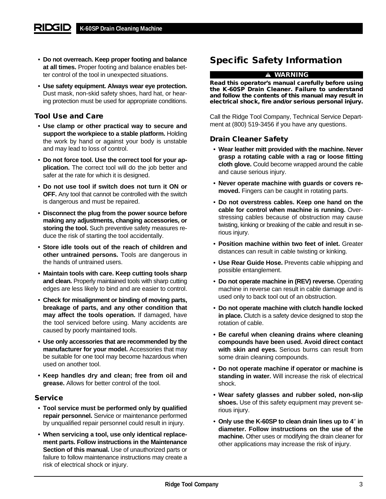- **Do not overreach. Keep proper footing and balance at all times.** Proper footing and balance enables better control of the tool in unexpected situations.
- **Use safety equipment. Always wear eye protection.** Dust mask, non-skid safety shoes, hard hat, or hearing protection must be used for appropriate conditions.

## **Tool Use and Care**

- **Use clamp or other practical way to secure and support the workpiece to a stable platform.** Holding the work by hand or against your body is unstable and may lead to loss of control.
- **Do not force tool. Use the correct tool for your application.** The correct tool will do the job better and safer at the rate for which it is designed.
- **Do not use tool if switch does not turn it ON or OFF.** Any tool that cannot be controlled with the switch is dangerous and must be repaired.
- **Disconnect the plug from the power source before making any adjustments, changing accessories, or storing the tool.** Such preventive safety measures reduce the risk of starting the tool accidentally.
- **Store idle tools out of the reach of children and other untrained persons.** Tools are dangerous in the hands of untrained users.
- **Maintain tools with care. Keep cutting tools sharp and clean.** Properly maintained tools with sharp cutting edges are less likely to bind and are easier to control.
- **Check for misalignment or binding of moving parts, breakage of parts, and any other condition that may affect the tools operation.** If damaged, have the tool serviced before using. Many accidents are caused by poorly maintained tools.
- **Use only accessories that are recommended by the manufacturer for your model.** Accessories that may be suitable for one tool may become hazardous when used on another tool.
- **Keep handles dry and clean; free from oil and grease.** Allows for better control of the tool.

#### **Service**

- **Tool service must be performed only by qualified repair personnel.** Service or maintenance performed by unqualified repair personnel could result in injury.
- **When servicing a tool, use only identical replacement parts. Follow instructions in the Maintenance Section of this manual.** Use of unauthorized parts or failure to follow maintenance instructions may create a risk of electrical shock or injury.

# **Specific Safety Information**

#### **WARNING**

**Read this operator's manual carefully before using the K-60SP Drain Cleaner. Failure to understand and follow the contents of this manual may result in electrical shock, fire and/or serious personal injury.**

Call the Ridge Tool Company, Technical Service Department at (800) 519-3456 if you have any questions.

### **Drain Cleaner Safety**

- **Wear leather mitt provided with the machine. Never grasp a rotating cable with a rag or loose fitting cloth glove.** Could become wrapped around the cable and cause serious injury.
- **Never operate machine with guards or covers removed.** Fingers can be caught in rotating parts.
- **Do not overstress cables. Keep one hand on the cable for control when machine is running.** Overstressing cables because of obstruction may cause twisting, kinking or breaking of the cable and result in serious injury.
- **Position machine within two feet of inlet.** Greater distances can result in cable twisting or kinking.
- **Use Rear Guide Hose.** Prevents cable whipping and possible entanglement.
- **Do not operate machine in (REV) reverse.** Operating machine in reverse can result in cable damage and is used only to back tool out of an obstruction.
- **Do not operate machine with clutch handle locked in place.** Clutch is a safety device designed to stop the rotation of cable.
- **Be careful when cleaning drains where cleaning compounds have been used. Avoid direct contact with skin and eyes.** Serious burns can result from some drain cleaning compounds.
- **Do not operate machine if operator or machine is standing in water.** Will increase the risk of electrical shock.
- **Wear safety glasses and rubber soled, non-slip shoes.** Use of this safety equipment may prevent serious injury.
- **Only use the K-60SP to clean drain lines up to 4**″ **in diameter. Follow instructions on the use of the machine.** Other uses or modifying the drain cleaner for other applications may increase the risk of injury.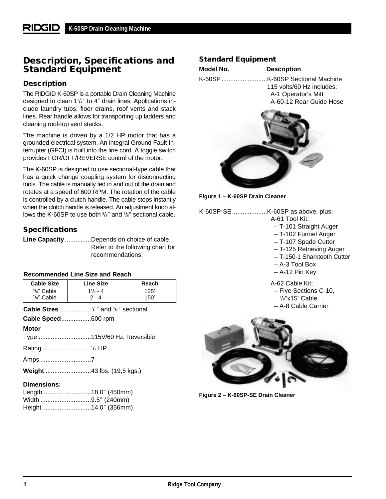## **Description, Specifications and Standard Equipment**

## **Description**

The RIDGID K-60SP is a portable Drain Cleaning Machine designed to clean 11 /4″ to 4″ drain lines. Applications include laundry tubs, floor drains, roof vents and stack lines. Rear handle allows for transporting up ladders and cleaning roof-top vent stacks.

The machine is driven by a 1/2 HP motor that has a grounded electrical system. An integral Ground Fault Interrupter (GFCI) is built into the line cord. A toggle switch provides FOR/OFF/REVERSE control of the motor.

The K-60SP is designed to use sectional-type cable that has a quick change coupling system for disconnecting tools. The cable is manually fed in and out of the drain and rotates at a speed of 600 RPM. The rotation of the cable is controlled by a clutch handle. The cable stops instantly when the clutch handle is released. An adjustment knob allows the K-60SP to use both  $5\frac{1}{8}$ " and  $7\frac{1}{8}$ " sectional cable.

## **Specifications**

**Line Capacity**...............Depends on choice of cable. Refer to the following chart for recommendations.

#### **Recommended Line Size and Reach**

| <b>Cable Size</b>      | Line Size        | Reach |
|------------------------|------------------|-------|
| $5\frac{1}{8}$ " Cable | $1^{1}/_{4}$ - 4 | 125'  |
| $\frac{7}{8}$ " Cable  | 2 - 4            | 150   |

**Cable Sizes** ....................7/<sub>8</sub>" and <sup>5</sup>/8" sectional

**Cable Speed**.................600 rpm

**Motor**

Type ..............................115V/60 Hz, Reversible

Rating...............................<sup>1</sup>/2 HP

Amps .............................7

**Weight** ..........................43 lbs. (19,5 kgs.)

#### **Dimensions:**

| Length 18.0" (450mm) |
|----------------------|
| Width 9.5" (240mm)   |
| Height14.0" (356mm)  |

## **Standard Equipment**

| Model No. | <b>Description</b>        |
|-----------|---------------------------|
|           |                           |
|           | 115 volts/60 Hz includes: |
|           | A-1 Operator's Mitt       |
|           | A-60-12 Rear Guide Hose   |



**Figure 1 – K-60SP Drain Cleaner**

|--|--|--|--|--|

- A-61 Tool Kit:
- T-101 Straight Auger
- T-102 Funnel Auger
- T-107 Spade Cutter
- T-125 Retrieving Auger
- T-150-1 Sharktooth Cutter
- A-3 Tool Box
- A-12 Pin Key

A-62 Cable Kit:

- Five Sections C-10,
- 7 /8″x15′ Cable
- A-8 Cable Carrier



**Figure 2 – K-60SP-SE Drain Cleaner**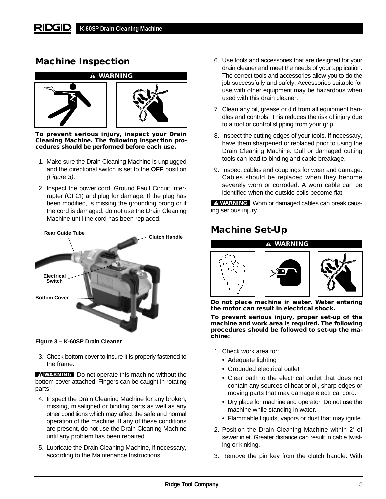# **Machine Inspection**



**To prevent serious injury, inspect your Drain Cleaning Machine. The following inspection procedures should be performed before each use.**

- 1. Make sure the Drain Cleaning Machine is unplugged and the directional switch is set to the **OFF** position (Figure 3).
- 2. Inspect the power cord, Ground Fault Circuit Interrupter (GFCI) and plug for damage. If the plug has been modified, is missing the grounding prong or if the cord is damaged, do not use the Drain Cleaning Machine until the cord has been replaced.



**Figure 3 – K-60SP Drain Cleaner**

3. Check bottom cover to insure it is properly fastened to the frame.

**WARNING** Do not operate this machine without the bottom cover attached. Fingers can be caught in rotating parts.

- 4. Inspect the Drain Cleaning Machine for any broken, missing, misaligned or binding parts as well as any other conditions which may affect the safe and normal operation of the machine. If any of these conditions are present, do not use the Drain Cleaning Machine until any problem has been repaired.
- 5. Lubricate the Drain Cleaning Machine, if necessary, according to the Maintenance Instructions.
- 6. Use tools and accessories that are designed for your drain cleaner and meet the needs of your application. The correct tools and accessories allow you to do the job successfully and safely. Accessories suitable for use with other equipment may be hazardous when used with this drain cleaner.
- 7. Clean any oil, grease or dirt from all equipment handles and controls. This reduces the risk of injury due to a tool or control slipping from your grip.
- 8. Inspect the cutting edges of your tools. If necessary, have them sharpened or replaced prior to using the Drain Cleaning Machine. Dull or damaged cutting tools can lead to binding and cable breakage.
- 9. Inspect cables and couplings for wear and damage. Cables should be replaced when they become severely worn or corroded. A worn cable can be identified when the outside coils become flat.

**WARNING** Worn or damaged cables can break causing serious injury.

# **Machine Set-Up**



**Do not place machine in water. Water entering the motor can result in electrical shock.**

**To prevent serious injury, proper set-up of the machine and work area is required. The following procedures should be followed to set-up the machine:**

- 1. Check work area for:
	- Adequate lighting
	- Grounded electrical outlet
	- Clear path to the electrical outlet that does not contain any sources of heat or oil, sharp edges or moving parts that may damage electrical cord.
	- Dry place for machine and operator. Do not use the machine while standing in water.
	- Flammable liquids, vapors or dust that may ignite.
- 2. Position the Drain Cleaning Machine within 2′ of sewer inlet. Greater distance can result in cable twisting or kinking.
- 3. Remove the pin key from the clutch handle. With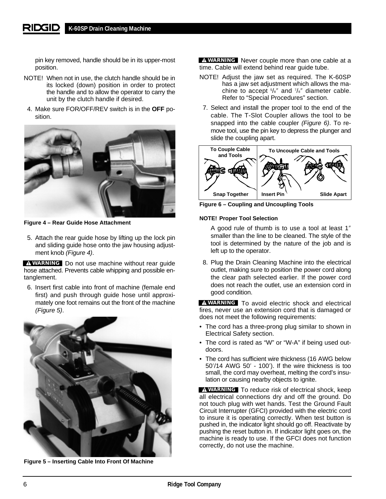pin key removed, handle should be in its upper-most position.

- NOTE! When not in use, the clutch handle should be in its locked (down) position in order to protect the handle and to allow the operator to carry the unit by the clutch handle if desired.
- 4. Make sure FOR/OFF/REV switch is in the **OFF** position.



**Figure 4 – Rear Guide Hose Attachment**

5. Attach the rear guide hose by lifting up the lock pin and sliding guide hose onto the jaw housing adjustment knob (Figure 4).

**WARNING** Do not use machine without rear guide hose attached. Prevents cable whipping and possible entanglement.

6. Insert first cable into front of machine (female end first) and push through guide hose until approximately one foot remains out the front of the machine (Figure 5).



**Figure 5 – Inserting Cable Into Front Of Machine**

**WARNING** Never couple more than one cable at a time. Cable will extend behind rear guide tube.

- NOTE! Adjust the jaw set as required. The K-60SP has a jaw set adjustment which allows the machine to accept  $5/s''$  and  $7/s''$  diameter cable. Refer to "Special Procedures" section.
- 7. Select and install the proper tool to the end of the cable. The T-Slot Coupler allows the tool to be snapped into the cable coupler (Figure 6). To remove tool, use the pin key to depress the plunger and slide the coupling apart.



**Figure 6 – Coupling and Uncoupling Tools**

#### **NOTE! Proper Tool Selection**

A good rule of thumb is to use a tool at least 1″ smaller than the line to be cleaned. The style of the tool is determined by the nature of the job and is left up to the operator.

8. Plug the Drain Cleaning Machine into the electrical outlet, making sure to position the power cord along the clear path selected earlier. If the power cord does not reach the outlet, use an extension cord in good condition.

**WARNING** To avoid electric shock and electrical fires, never use an extension cord that is damaged or does not meet the following requirements:

- The cord has a three-prong plug similar to shown in Electrical Safety section.
- The cord is rated as "W" or "W-A" if being used outdoors.
- The cord has sufficient wire thickness (16 AWG below 50′/14 AWG 50′ - 100′). If the wire thickness is too small, the cord may overheat, melting the cord's insulation or causing nearby objects to ignite.

**WARNING** To reduce risk of electrical shock, keep all electrical connections dry and off the ground. Do not touch plug with wet hands. Test the Ground Fault Circuit Interrupter (GFCI) provided with the electric cord to insure it is operating correctly. When test button is pushed in, the indicator light should go off. Reactivate by pushing the reset button in. If indicator light goes on, the machine is ready to use. If the GFCI does not function correctly, do not use the machine.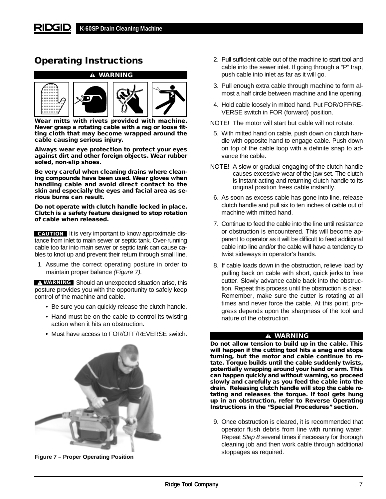# **Operating Instructions**



**Wear mitts with rivets provided with machine. Never grasp a rotating cable with a rag or loose fitting cloth that may become wrapped around the cable causing serious injury.**

**Always wear eye protection to protect your eyes against dirt and other foreign objects. Wear rubber soled, non-slip shoes.**

**Be very careful when cleaning drains where cleaning compounds have been used. Wear gloves when handling cable and avoid direct contact to the skin and especially the eyes and facial area as serious burns can result.**

**Do not operate with clutch handle locked in place. Clutch is a safety feature designed to stop rotation of cable when released.**

**CAUTION** It is very important to know approximate distance from inlet to main sewer or septic tank. Over-running cable too far into main sewer or septic tank can cause cables to knot up and prevent their return through small line.

1. Assume the correct operating posture in order to maintain proper balance (Figure 7).

**WARNING** Should an unexpected situation arise, this posture provides you with the opportunity to safely keep control of the machine and cable.

- Be sure you can quickly release the clutch handle.
- Hand must be on the cable to control its twisting action when it hits an obstruction.
- Must have access to FOR/OFF/REVERSE switch.



**Figure 7 – Proper Operating Position**

- 2. Pull sufficient cable out of the machine to start tool and cable into the sewer inlet. If going through a "P" trap, push cable into inlet as far as it will go.
- 3. Pull enough extra cable through machine to form almost a half circle between machine and line opening.
- 4. Hold cable loosely in mitted hand. Put FOR/OFF/RE-VERSE switch in FOR (forward) position.
- NOTE! The motor will start but cable will not rotate.
- 5. With mitted hand on cable, push down on clutch handle with opposite hand to engage cable. Push down on top of the cable loop with a definite snap to advance the cable.
- NOTE! A slow or gradual engaging of the clutch handle causes excessive wear of the jaw set. The clutch is instant-acting and returning clutch handle to its original position frees cable instantly.
- 6. As soon as excess cable has gone into line, release clutch handle and pull six to ten inches of cable out of machine with mitted hand.
- 7. Continue to feed the cable into the line until resistance or obstruction is encountered. This will become apparent to operator as it will be difficult to feed additional cable into line and/or the cable will have a tendency to twist sideways in operator's hands.
- 8. If cable loads down in the obstruction, relieve load by pulling back on cable with short, quick jerks to free cutter. Slowly advance cable back into the obstruction. Repeat this process until the obstruction is clear. Remember, make sure the cutter is rotating at all times and never force the cable. At this point, progress depends upon the sharpness of the tool and nature of the obstruction.

#### **WARNING**

**Do not allow tension to build up in the cable. This will happen if the cutting tool hits a snag and stops turning, but the motor and cable continue to rotate. Torque builds until the cable suddenly twists, potentially wrapping around your hand or arm. This can happen quickly and without warning, so proceed slowly and carefully as you feed the cable into the drain. Releasing clutch handle will stop the cable rotating and releases the torque. If tool gets hung up in an obstruction, refer to Reverse Operating Instructions in the "Special Procedures" section.**

9. Once obstruction is cleared, it is recommended that operator flush debris from line with running water. Repeat Step 8 several times if necessary for thorough cleaning job and then work cable through additional stoppages as required.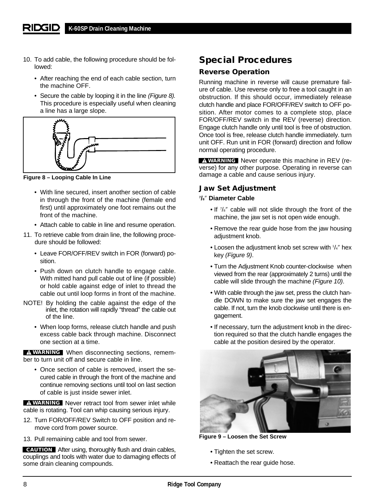- 10. To add cable, the following procedure should be followed:
	- After reaching the end of each cable section, turn the machine OFF.
	- Secure the cable by looping it in the line (Figure 8). This procedure is especially useful when cleaning a line has a large slope.



**Figure 8 – Looping Cable In Line**

- With line secured, insert another section of cable in through the front of the machine (female end first) until approximately one foot remains out the front of the machine.
- Attach cable to cable in line and resume operation.
- 11. To retrieve cable from drain line, the following procedure should be followed:
	- Leave FOR/OFF/REV switch in FOR (forward) position.
	- Push down on clutch handle to engage cable. With mitted hand pull cable out of line (if possible) or hold cable against edge of inlet to thread the cable out until loop forms in front of the machine.
- NOTE! By holding the cable against the edge of the inlet, the rotation will rapidly "thread" the cable out of the line.
	- When loop forms, release clutch handle and push excess cable back through machine. Disconnect one section at a time.

When disconnecting sections, remem-**WARNING** ber to turn unit off and secure cable in line.

• Once section of cable is removed, insert the secured cable in through the front of the machine and continue removing sections until tool on last section of cable is just inside sewer inlet.

**WARNING** Never retract tool from sewer inlet while cable is rotating. Tool can whip causing serious injury.

- 12. Turn FOR/OFF/REV Switch to OFF position and remove cord from power source.
- 13. Pull remaining cable and tool from sewer.

After using, thoroughly flush and drain cables, **CAUTION** couplings and tools with water due to damaging effects of some drain cleaning compounds.

## **Special Procedures**

### **Reverse Operation**

Running machine in reverse will cause premature failure of cable. Use reverse only to free a tool caught in an obstruction. If this should occur, immediately release clutch handle and place FOR/OFF/REV switch to OFF position. After motor comes to a complete stop, place FOR/OFF/REV switch in the REV (reverse) direction. Engage clutch handle only until tool is free of obstruction. Once tool is free, release clutch handle immediately. turn unit OFF. Run unit in FOR (forward) direction and follow normal operating procedure.

**WARNING** Never operate this machine in REV (reverse) for any other purpose. Operating in reverse can damage a cable and cause serious injury.

#### **Jaw Set Adjustment**

#### **7 /8**″ **Diameter Cable**

- If 7 /8″ cable will not slide through the front of the machine, the jaw set is not open wide enough.
- Remove the rear guide hose from the jaw housing adjustment knob.
- Loosen the adjustment knob set screw with  $1/4$ " hex key (Figure 9).
- Turn the Adjustment Knob counter-clockwise when viewed from the rear (approximately 2 turns) until the cable will slide through the machine (Figure 10).
- With cable through the jaw set, press the clutch handle DOWN to make sure the jaw set engages the cable. If not, turn the knob clockwise until there is engagement.
- If necessary, turn the adjustment knob in the direction required so that the clutch handle engages the cable at the position desired by the operator.



**Figure 9 – Loosen the Set Screw**

- Tighten the set screw.
- Reattach the rear guide hose.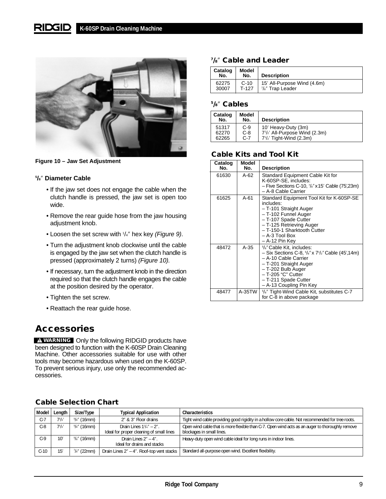

**Figure 10 – Jaw Set Adjustment**

#### **5 /8**″ **Diameter Cable**

- If the jaw set does not engage the cable when the clutch handle is pressed, the jaw set is open too wide.
- Remove the rear guide hose from the jaw housing adjustment knob.
- Loosen the set screw with  $1/4$ " hex key (Figure 9).
- Turn the adjustment knob clockwise until the cable is engaged by the jaw set when the clutch handle is pressed (approximately 2 turns) (Figure 10).
- If necessary, turn the adjustment knob in the direction required so that the clutch handle engages the cable at the position desired by the operator.
- Tighten the set screw.
- Reattach the rear guide hose.

## **Accessories**

**WARNING** Only the following RIDGID products have been designed to function with the K-60SP Drain Cleaning Machine. Other accessories suitable for use with other tools may become hazardous when used on the K-60SP. To prevent serious injury, use only the recommended accessories.

## **7 /8**″ **Cable and Leader**

| Catalog<br>No. | <b>Model</b><br>No. | <b>Description</b>          |
|----------------|---------------------|-----------------------------|
| 62275          | $C-10$              | 15' All-Purpose Wind (4.6m) |
| 30007          | T-127               | 7/8" Trap Leader            |

#### **5 /8**″ **Cables**

| Catalog<br>No. | Model<br>No. | <b>Description</b>                                      |
|----------------|--------------|---------------------------------------------------------|
| 51317          | $C-9$        | 10' Heavy-Duty (3m)                                     |
| 62270          | $C-8$        | 7 <sup>1</sup> / <sub>2</sub> ' All-Purpose Wind (2.3m) |
| 62265          | $C-7$        | $71/2$ ' Tight-Wind (2.3m)                              |

## **Cable Kits and Tool Kit**

| Catalog<br>No. | Model<br>No. | <b>Description</b>                                                                                                                                                                                                                                                             |
|----------------|--------------|--------------------------------------------------------------------------------------------------------------------------------------------------------------------------------------------------------------------------------------------------------------------------------|
| 61630          | $A-62$       | Standard Equipment Cable Kit for<br>K-60SP-SE, includes:<br>$-$ Five Sections C-10, $7/8$ " x 15' Cable (75', 23m)<br>- A-8 Cable Carrier                                                                                                                                      |
| 61625          | $A-61$       | Standard Equipment Tool Kit for K-60SP-SE<br>includes:<br>- T-101 Straight Auger<br>- T-102 Funnel Auger<br>- T-107 Spade Cutter<br>- T-125 Retrieving Auger<br>- T-150-1 Sharktooth Cutter<br>- A-3 Tool Box<br>– A-12 Pin Kev                                                |
| 48472          | A-35         | <sup>5</sup> / <sub>8</sub> " Cable Kit, includes:<br>- Six Sections C-8, $\frac{5}{8}$ " x 7 $\frac{1}{2}$ " Cable (45',14m)<br>- A-10 Cable Carrier<br>- T-201 Straight Auger<br>- T-202 Bulb Auger<br>– T-205 "C" Cutter<br>- T-211 Spade Cutter<br>- A-13 Coupling Pin Key |
| 48477          | A-35TW       | <sup>5</sup> / <sub>8</sub> " Tight-Wind Cable Kit, substitutes C-7<br>for C-8 in above package                                                                                                                                                                                |

### **Cable Selection Chart**

| Model  | Lenath         | Size/Type                             | <b>Typical Application</b>                                                     | Characteristics                                                                                                              |
|--------|----------------|---------------------------------------|--------------------------------------------------------------------------------|------------------------------------------------------------------------------------------------------------------------------|
| $C-7$  | $7^{1}/_{2}$   | $5\frac{\text{S}}{\text{s}}$ " (16mm) | 2" & 3" Floor drains                                                           | Tight wind cable providing good rigidity in a hollow core cable. Not recommended for tree roots.                             |
| $C-8$  | $7^{1}/_{2}$ ' | $5\frac{1}{8}$ " (16mm)               | Drain Lines $1\frac{1}{4}$ " – 2".<br>Ideal for proper cleaning of small lines | Open wind cable that is more flexible than C-7. Open wind acts as an auger to thoroughly remove<br>blockages in small lines. |
| $C-9$  | 10'            | $5\frac{\text{S}}{\text{s}}$ " (16mm) | Drain Lines $2'' - 4''$ .<br>Ideal for drains and stacks                       | Heavy-duty open wind cable ideal for long runs in indoor lines.                                                              |
| $C-10$ | 15'            | $\frac{7}{8}$ " (22mm)                | Drain Lines 2" – 4". Roof-top vent stacks                                      | Standard all-purpose open wind. Excellent flexibility.                                                                       |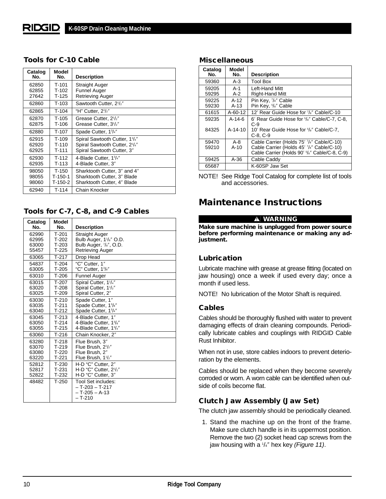### **Tools for C-10 Cable**

| Catalog<br>No. | Model<br>No.     | <b>Description</b>                             |
|----------------|------------------|------------------------------------------------|
| 62850<br>62855 | $T-101$<br>T-102 | Straight Auger<br><b>Funnel Auger</b>          |
| 27642          | T-125            | <b>Retrieving Auger</b>                        |
| 62860          | $T-103$          | Sawtooth Cutter, 2 <sup>1</sup> /2"            |
| 62865          | T-104            | "H" Cutter, 2 <sup>1</sup> /2"                 |
| 62870          | $T-105$          | Grease Cutter, 2 <sup>1</sup> / <sub>2</sub> " |
| 62875          | $T-106$          | Grease Cutter, 3 <sup>1</sup> /2"              |
| 62880          | $T-107$          | Spade Cutter, 13/4"                            |
| 62915          | T-109            | Spiral Sawtooth Cutter, 13/4"                  |
| 62920          | $T-110$          | Spiral Sawtooth Cutter, 21/4"                  |
| 62925          | T-111            | Spiral Sawtooth Cutter, 3"                     |
| 62930          | T-112            | 4-Blade Cutter, 13/4"                          |
| 62935          | T-113            | 4-Blade Cutter, 3"                             |
| 98050          | $T-150$          | Sharktooth Cutter, 3" and 4"                   |
| 98055          | T-150-1          | Sharktooth Cutter, 3" Blade                    |
| 98060          | T-150-2          | Sharktooth Cutter, 4" Blade                    |
| 62940          | T-114            | Chain Knocker                                  |

## **Tools for C-7, C-8, and C-9 Cables**

| Catalog<br>No.          | Model<br>No.                | <b>Description</b>                                                                 |
|-------------------------|-----------------------------|------------------------------------------------------------------------------------|
| 62990<br>62995          | $T-201$<br>$T-202$          | <b>Straight Auger</b><br>Bulb Auger, 1 <sup>1</sup> /s" O.D.                       |
| 63000                   | $T-203$                     | Bulb Auger, 7/8", O.D.                                                             |
| 55457                   | $T-225$                     | Retrieving Auger                                                                   |
| 63065                   | $T-217$                     | Drop Head                                                                          |
| 54837<br>63005          | $T-204$<br>$T-205$          | "C" Cutter, 1"<br>"C" Cutter, 13/8"                                                |
| 63010                   | T-206                       | Funnel Auger                                                                       |
| 63015<br>63020<br>63025 | $T-207$<br>$T-208$<br>T-209 | Spiral Cutter, 11/4"<br>Spiral Cutter, 11/2"<br>Spiral Cutter, 2"                  |
| 63030                   | $T-210$                     | Spade Cutter, 1"                                                                   |
| 63035                   | $T-211$                     | Spade Cutter, 1 <sup>3</sup> /s"                                                   |
| 63040                   | $T-212$                     | Spade Cutter, 13/4"                                                                |
| 63045<br>63050          | $T-213$<br>$T-214$          | 4-Blade Cutter, 1"<br>4-Blade Cutter, 1 <sup>3</sup> / <sub>8</sub> "              |
| 63055                   | $T-215$                     | 4-Blade Cutter, 13/4"                                                              |
| 63060                   | $T-216$                     | Chain Knocker, 2"                                                                  |
| 63280                   | T-218                       | Flue Brush, 3"                                                                     |
| 63070                   | $T-219$                     | Flue Brush, 2 <sup>1</sup> /2"                                                     |
| 63080<br>63220          | $T-220$<br>$T-221$          | Flue Brush, 2"<br>Flue Brush, 11/2"                                                |
| 52812                   | $T-230$                     | H-D "C" Cutter, 2"                                                                 |
| 52817                   | $T-231$                     | H-D "C" Cutter, 2 <sup>1</sup> / <sub>2</sub> "                                    |
| 52822                   | $T-232$                     | H-D "C" Cutter, 3"                                                                 |
| 48482                   | $T-250$                     | Tool Set includes:<br>$- T - 203 - T - 217$<br>$- T - 205 - A - 13$<br>$- T - 210$ |

#### **Miscellaneous**

| Catalog<br>No. | Model<br>No.                  | <b>Description</b>                                                                                                                      |
|----------------|-------------------------------|-----------------------------------------------------------------------------------------------------------------------------------------|
| 59360          | $A - 3$                       | <b>Tool Box</b>                                                                                                                         |
| 59205<br>59295 | $A-1$<br>$A-2$                | I eft-Hand Mitt<br><b>Right-Hand Mitt</b>                                                                                               |
| 59225<br>59230 | A-12<br>A-13                  | Pin Key, 7/s" Cable<br>Pin Key, 5/8" Cable                                                                                              |
| 61615          | $A-60-12$                     | 12' Rear Guide Hose for 7/8" Cable/C-10                                                                                                 |
| 59235<br>84325 | $A - 14 - 6$<br>$A - 14 - 10$ | $6'$ Rear Guide Hose for $\frac{5}{8}$ " Cable/C-7, C-8,<br>C-9<br>10' Rear Guide Hose for <sup>5</sup> / <sub>8</sub> " Cable/C-7.     |
|                |                               | $C-8. C-9$                                                                                                                              |
| 59470<br>59210 | $A - 8$<br>A-10               | Cable Carrier (Holds 75' 7/8" Cable/C-10)<br>Cable Carrier (Holds 45' 7/8" Cable/C-10)<br>Cable Carrier (Holds 90' 5/8" Cable/C-8, C-9) |
| 59425          | A-36                          | Cable Caddy                                                                                                                             |
| 65687          |                               | K-60SP Jaw Set                                                                                                                          |

NOTE! See Ridge Tool Catalog for complete list of tools and accessories.

# **Maintenance Instructions**

#### **WARNING**

**Make sure machine is unplugged from power source before performing maintenance or making any adjustment.**

#### **Lubrication**

Lubricate machine with grease at grease fitting (located on jaw housing) once a week if used every day; once a month if used less.

NOTE! No lubrication of the Motor Shaft is required.

#### **Cables**

Cables should be thoroughly flushed with water to prevent damaging effects of drain cleaning compounds. Periodically lubricate cables and couplings with RIDGID Cable Rust Inhibitor.

When not in use, store cables indoors to prevent deterioration by the elements.

Cables should be replaced when they become severely corroded or worn. A worn cable can be identified when outside of coils become flat.

## **Clutch Jaw Assembly (Jaw Set)**

The clutch jaw assembly should be periodically cleaned.

1. Stand the machine up on the front of the frame. Make sure clutch handle is in its uppermost position. Remove the two (2) socket head cap screws from the jaw housing with a 1/4" hex key (Figure 11).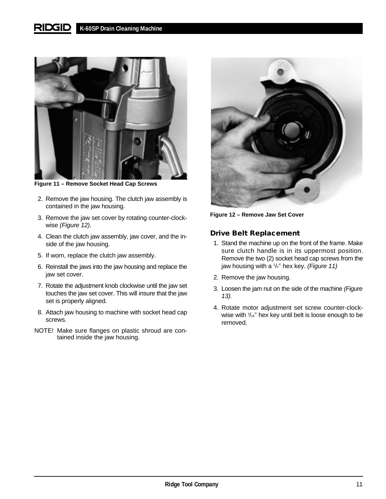#### **RIDGID K-60SP Drain Cleaning Machine**



**Figure 11 – Remove Socket Head Cap Screws**

- 2. Remove the jaw housing. The clutch jaw assembly is contained in the jaw housing.
- 3. Remove the jaw set cover by rotating counter-clockwise (Figure 12).
- 4. Clean the clutch jaw assembly, jaw cover, and the inside of the jaw housing.
- 5. If worn, replace the clutch jaw assembly.
- 6. Reinstall the jaws into the jaw housing and replace the jaw set cover.
- 7. Rotate the adjustment knob clockwise until the jaw set touches the jaw set cover. This will insure that the jaw set is properly aligned.
- 8. Attach jaw housing to machine with socket head cap screws.
- NOTE! Make sure flanges on plastic shroud are contained inside the jaw housing.



**Figure 12 – Remove Jaw Set Cover**

## **Drive Belt Replacement**

- 1. Stand the machine up on the front of the frame. Make sure clutch handle is in its uppermost position. Remove the two (2) socket head cap screws from the jaw housing with a 1/4" hex key. *(Figure 11)*
- 2. Remove the jaw housing.
- 3. Loosen the jam nut on the side of the machine (Figure 13).
- 4. Rotate motor adjustment set screw counter-clockwise with  $\frac{3}{16}$  hex key until belt is loose enough to be removed.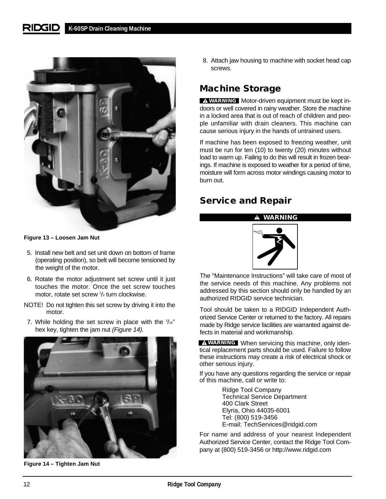

**Figure 13 – Loosen Jam Nut**

- 5. Install new belt and set unit down on bottom of frame (operating position), so belt will become tensioned by the weight of the motor.
- 6. Rotate the motor adjustment set screw until it just touches the motor. Once the set screw touches motor, rotate set screw 1 /2 turn clockwise.
- NOTE! Do not tighten this set screw by driving it into the motor.
- 7. While holding the set screw in place with the  $\frac{3}{16}$ " hex key, tighten the jam nut (Figure 14).



**Figure 14 – Tighten Jam Nut**

8. Attach jaw housing to machine with socket head cap screws.

## **Machine Storage**

**WARNING** Motor-driven equipment must be kept indoors or well covered in rainy weather. Store the machine in a locked area that is out of reach of children and people unfamiliar with drain cleaners. This machine can cause serious injury in the hands of untrained users.

If machine has been exposed to freezing weather, unit must be run for ten (10) to twenty (20) minutes without load to warm up. Failing to do this will result in frozen bearings. If machine is exposed to weather for a period of time, moisture will form across motor windings causing motor to burn out.

## **Service and Repair**

#### **WARNING**



The "Maintenance Instructions" will take care of most of the service needs of this machine. Any problems not addressed by this section should only be handled by an authorized RIDGID service technician.

Tool should be taken to a RIDGID Independent Authorized Service Center or returned to the factory. All repairs made by Ridge service facilities are warranted against defects in material and workmanship.

**WARNING** When servicing this machine, only identical replacement parts should be used. Failure to follow these instructions may create a risk of electrical shock or other serious injury.

If you have any questions regarding the service or repair of this machine, call or write to:

> Ridge Tool Company Technical Service Department 400 Clark Street Elyria, Ohio 44035-6001 Tel: (800) 519-3456 E-mail: TechServices@ridgid.com

For name and address of your nearest Independent Authorized Service Center, contact the Ridge Tool Company at (800) 519-3456 or http://www.ridgid.com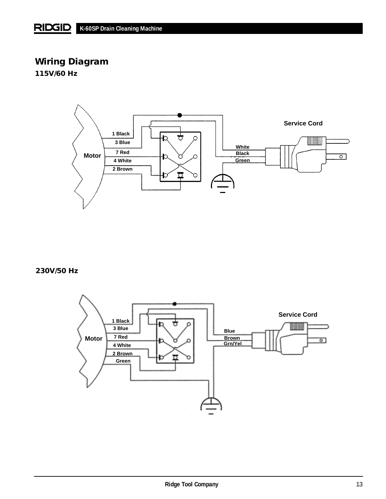# **Wiring Diagram**

## **115V/60 Hz**



### **230V/50 Hz**

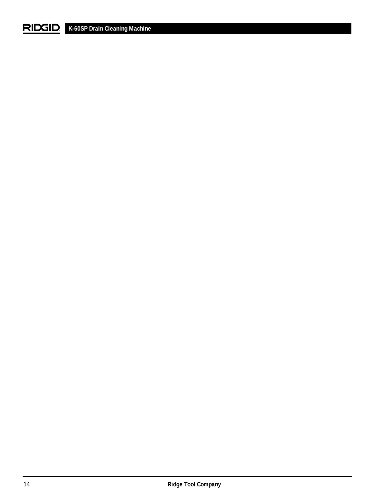# **K-60SP Drain Cleaning Machine**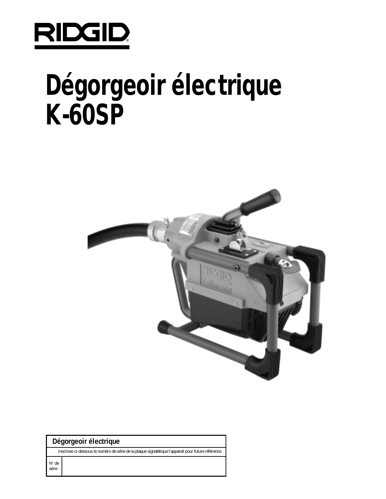

# **Dégorgeoir électrique K-60SP**



|       | Dégorgeoir électrique                                                                               |
|-------|-----------------------------------------------------------------------------------------------------|
|       | Inscrivez ci-dessous le numéro de série de la plaque signalétique l'appareil pour future référence. |
| N° de |                                                                                                     |

série :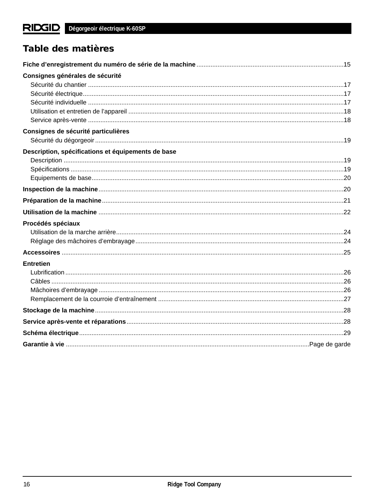# Table des matières

| Consignes générales de sécurité                    |  |
|----------------------------------------------------|--|
|                                                    |  |
|                                                    |  |
|                                                    |  |
|                                                    |  |
|                                                    |  |
| Consignes de sécurité particulières                |  |
|                                                    |  |
| Description, spécifications et équipements de base |  |
|                                                    |  |
|                                                    |  |
|                                                    |  |
|                                                    |  |
|                                                    |  |
|                                                    |  |
| Procédés spéciaux                                  |  |
|                                                    |  |
|                                                    |  |
|                                                    |  |
| <b>Entretien</b>                                   |  |
|                                                    |  |
|                                                    |  |
|                                                    |  |
|                                                    |  |
|                                                    |  |
|                                                    |  |
|                                                    |  |
|                                                    |  |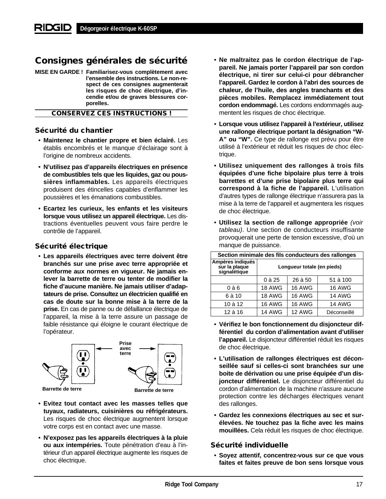# **Consignes générales de sécurité**

**MISE EN GARDE ! Familiarisez-vous complètement avec l'ensemble des instructions. Le non-respect de ces consignes augmenterait les risques de choc électrique, d'incendie et/ou de graves blessures corporelles.**

**CONSERVEZ CES INSTRUCTIONS !**

#### **Sécurité du chantier**

- **Maintenez le chantier propre et bien éclairé.** Les établis encombrés et le manque d'éclairage sont à l'origine de nombreux accidents.
- **N'utilisez pas d'appareils électriques en présence de combustibles tels que les liquides, gaz ou poussières inflammables.** Les appareils électriques produisent des étincelles capables d'enflammer les poussières et les émanations combustibles.
- **Ecartez les curieux, les enfants et les visiteurs lorsque vous utilisez un appareil électrique.** Les distractions éventuelles peuvent vous faire perdre le contrôle de l'appareil.

#### **Sécurité électrique**

• **Les appareils électriques avec terre doivent être branchés sur une prise avec terre appropriée et conforme aux normes en vigueur. Ne jamais enlever la barrette de terre ou tenter de modifier la fiche d'aucune manière. Ne jamais utiliser d'adaptateurs de prise. Consultez un électricien qualifié en cas de doute sur la bonne mise à la terre de la prise.** En cas de panne ou de défaillance électrique de l'appareil, la mise à la terre assure un passage de faible résistance qui éloigne le courant électrique de l'opérateur.



- **Evitez tout contact avec les masses telles que tuyaux, radiateurs, cuisinières ou réfrigérateurs.** Les risques de choc électrique augmentent lorsque votre corps est en contact avec une masse.
- **N'exposez pas les appareils électriques à la pluie ou aux intempéries.** Toute pénétration d'eau à l'intérieur d'un appareil électrique augmente les risques de choc électrique.
- **Ne maltraitez pas le cordon électrique de l'appareil. Ne jamais porter l'appareil par son cordon électrique, ni tirer sur celui-ci pour débrancher l'appareil. Gardez le cordon à l'abri des sources de chaleur, de l'huile, des angles tranchants et des pièces mobiles. Remplacez immédiatement tout cordon endommagé.** Les cordons endommagés augmentent les risques de choc électrique.
- **Lorsque vous utilisez l'appareil à l'extérieur, utilisez une rallonge électrique portant la désignation "W-A" ou "W".** Ce type de rallonge est prévu pour être utilisé à l'extérieur et réduit les risques de choc électrique.
- **Utilisez uniquement des rallonges à trois fils équipées d'une fiche bipolaire plus terre à trois barrettes et d'une prise bipolaire plus terre qui correspond à la fiche de l'appareil.** L'utilisation d'autres types de rallonge électrique n'assurera pas la mise à la terre de l'appareil et augmentera les risques de choc électrique.
- **Utilisez la section de rallonge appropriée** (voir tableau). Une section de conducteurs insuffisante provoquerait une perte de tension excessive, d'où un manque de puissance.

| Section minimale des fils conducteurs des rallonges |                            |               |               |
|-----------------------------------------------------|----------------------------|---------------|---------------|
| Ampères indiqués<br>sur la plaque<br>signalétique   | Lonqueur totale (en pieds) |               |               |
|                                                     | 0 à 25                     | 26 à 50       | 51 à 100      |
| $0$ à $6$                                           | 18 AWG                     | <b>16 AWG</b> | <b>16 AWG</b> |
| 6 à 10                                              | <b>18 AWG</b>              | <b>16 AWG</b> | <b>14 AWG</b> |
| 10 à 12                                             | <b>16 AWG</b>              | <b>16 AWG</b> | <b>14 AWG</b> |
| 12 à 16                                             | 14 AWG                     | 12 AWG        | Déconseillé   |

- **Vérifiez le bon fonctionnement du disjoncteur différentiel du cordon d'alimentation avant d'utiliser l'appareil.** Le disjoncteur différentiel réduit les risques de choc électrique.
- **L'utilisation de rallonges électriques est déconseillée sauf si celles-ci sont branchées sur une boite de dérivation ou une prise équipée d'un disjoncteur différentiel.** Le disjoncteur différentiel du cordon d'alimentation de la machine n'assure aucune protection contre les décharges électriques venant des rallonges.
- **Gardez les connexions électriques au sec et surélevées. Ne touchez pas la fiche avec les mains mouillées.** Cela réduit les risques de choc électrique.

#### **Sécurité individuelle**

• **Soyez attentif, concentrez-vous sur ce que vous faites et faites preuve de bon sens lorsque vous**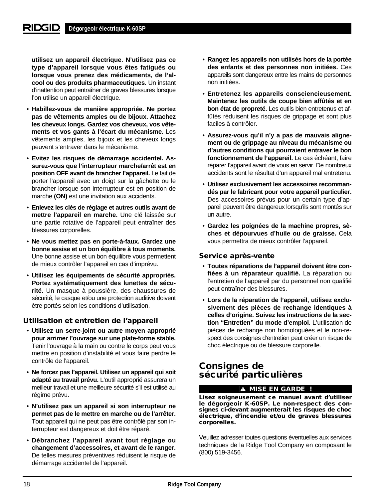**utilisez un appareil électrique. N'utilisez pas ce type d'appareil lorsque vous êtes fatigués ou lorsque vous prenez des médicaments, de l'alcool ou des produits pharmaceutiques.** Un instant d'inattention peut entraîner de graves blessures lorsque l'on utilise un appareil électrique.

- **Habillez-vous de manière appropriée. Ne portez pas de vêtements amples ou de bijoux. Attachez les cheveux longs. Gardez vos cheveux, vos vêtements et vos gants à l'écart du mécanisme.** Les vêtements amples, les bijoux et les cheveux longs peuvent s'entraver dans le mécanisme.
- **Evitez les risques de démarrage accidentel. Assurez-vous que l'interrupteur marche/arrêt est en position OFF avant de brancher l'appareil.** Le fait de porter l'appareil avec un doigt sur la gâchette ou le brancher lorsque son interrupteur est en position de marche **(ON)** est une invitation aux accidents.
- **Enlevez les clés de réglage et autres outils avant de mettre l'appareil en marche.** Une clé laissée sur une partie rotative de l'appareil peut entraîner des blessures corporelles.
- **Ne vous mettez pas en porte-à-faux. Gardez une bonne assise et un bon équilibre à tous moments.** Une bonne assise et un bon équilibre vous permettent de mieux contrôler l'appareil en cas d'imprévu.
- **Utilisez les équipements de sécurité appropriés. Portez systématiquement des lunettes de sécurité.** Un masque à poussière, des chaussures de sécurité, le casque et/ou une protection auditive doivent être portés selon les conditions d'utilisation.

### **Utilisation et entretien de l'appareil**

- **Utilisez un serre-joint ou autre moyen approprié pour arrimer l'ouvrage sur une plate-forme stable.** Tenir l'ouvrage à la main ou contre le corps peut vous mettre en position d'instabilité et vous faire perdre le contrôle de l'appareil.
- **Ne forcez pas l'appareil. Utilisez un appareil qui soit adapté au travail prévu.** L'outil approprié assurera un meilleur travail et une meilleure sécurité s'il est utilisé au régime prévu.
- **N'utilisez pas un appareil si son interrupteur ne permet pas de le mettre en marche ou de l'arrêter.** Tout appareil qui ne peut pas être contrôlé par son interrupteur est dangereux et doit être réparé.
- **Débranchez l'appareil avant tout réglage ou changement d'accessoires, et avant de le ranger.** De telles mesures préventives réduisent le risque de démarrage accidentel de l'appareil.
- **Rangez les appareils non utilisés hors de la portée des enfants et des personnes non initiées.** Ces appareils sont dangereux entre les mains de personnes non initiées.
- **Entretenez les appareils consciencieusement. Maintenez les outils de coupe bien affûtés et en bon état de propreté.** Les outils bien entretenus et affûtés réduisent les risques de grippage et sont plus faciles à contrôler.
- **Assurez-vous qu'il n'y a pas de mauvais alignement ou de grippage au niveau du mécanisme ou d'autres conditions qui pourraient entraver le bon fonctionnement de l'appareil.** Le cas échéant, faire réparer l'appareil avant de vous en servir. De nombreux accidents sont le résultat d'un appareil mal entretenu.
- **Utilisez exclusivement les accessoires recommandés par le fabricant pour votre appareil particulier.** Des accessoires prévus pour un certain type d'appareil peuvent être dangereux lorsqu'ils sont montés sur un autre.
- **Gardez les poignées de la machine propres, sèches et dépourvues d'huile ou de graisse.** Cela vous permettra de mieux contrôler l'appareil.

### **Service après-vente**

- **Toutes réparations de l'appareil doivent être confiées à un réparateur qualifié.** La réparation ou l'entretien de l'appareil par du personnel non qualifié peut entraîner des blessures.
- **Lors de la réparation de l'appareil, utilisez exclusivement des pièces de rechange identiques à celles d'origine. Suivez les instructions de la section "Entretien" du mode d'emploi.** L'utilisation de pièces de rechange non homologuées et le non-respect des consignes d'entretien peut créer un risque de choc électrique ou de blessure corporelle.

## **Consignes de sécurité particulières**

#### **MISE EN GARDE !**

**Lisez soigneusement ce manuel avant d'utiliser le dégorgeoir K-60SP. Le non-respect des consignes ci-devant augmenterait les risques de choc électrique, d'incendie et/ou de graves blessures corporelles.**

Veuillez adresser toutes questions éventuelles aux services techniques de la Ridge Tool Company en composant le (800) 519-3456.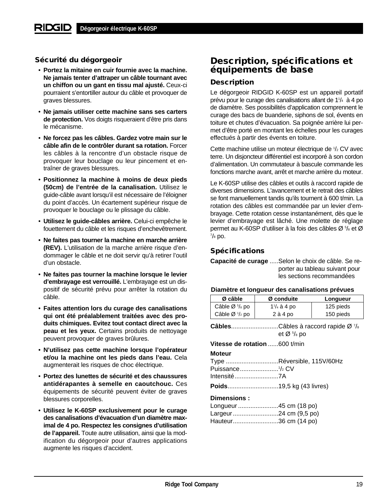#### **Sécurité du dégorgeoir**

- **Portez la mitaine en cuir fournie avec la machine. Ne jamais tenter d'attraper un câble tournant avec un chiffon ou un gant en tissu mal ajusté.** Ceux-ci pourraient s'entortiller autour du câble et provoquer de graves blessures.
- **Ne jamais utiliser cette machine sans ses carters de protection.** Vos doigts risqueraient d'être pris dans le mécanisme.
- **Ne forcez pas les câbles. Gardez votre main sur le câble afin de le contrôler durant sa rotation.** Forcer les câbles à la rencontre d'un obstacle risque de provoquer leur bouclage ou leur pincement et entraîner de graves blessures.
- **Positionnez la machine à moins de deux pieds (50cm) de l'entrée de la canalisation.** Utilisez le guide-câble avant lorsqu'il est nécessaire de l'éloigner du point d'accès. Un écartement supérieur risque de provoquer le bouclage ou le plissage du câble.
- **Utilisez le guide-câbles arrière.** Celui-ci empêche le fouettement du câble et les risques d'enchevêtrement.
- **Ne faites pas tourner la machine en marche arrière (REV).** L'utilisation de la marche arrière risque d'endommager le câble et ne doit servir qu'à retirer l'outil d'un obstacle.
- **Ne faites pas tourner la machine lorsque le levier d'embrayage est verrouillé.** L'embrayage est un dispositif de sécurité prévu pour arrêter la rotation du câble.
- **Faites attention lors du curage des canalisations qui ont été préalablement traitées avec des produits chimiques. Evitez tout contact direct avec la peau et les yeux.** Certains produits de nettoyage peuvent provoquer de graves brûlures.
- **N'utilisez pas cette machine lorsque l'opérateur et/ou la machine ont les pieds dans l'eau.** Cela augmenterait les risques de choc électrique.
- **Portez des lunettes de sécurité et des chaussures antidérapantes à semelle en caoutchouc.** Ces équipements de sécurité peuvent éviter de graves blessures corporelles.
- **Utilisez le K-60SP exclusivement pour le curage des canalisations d'évacuation d'un diamètre maximal de 4 po. Respectez les consignes d'utilisation de l'appareil.** Toute autre utilisation, ainsi que la modification du dégorgeoir pour d'autres applications augmente les risques d'accident.

## **Description, spécifications et équipements de base**

#### **Description**

Le dégorgeoir RIDGID K-60SP est un appareil portatif prévu pour le curage des canalisations allant de 11 /4 à 4 po de diamètre. Ses possibilités d'application comprennent le curage des bacs de buanderie, siphons de sol, évents en toiture et chutes d'évacuation. Sa poignée arrière lui permet d'être porté en montant les échelles pour les curages effectués à partir des évents en toiture.

Cette machine utilise un moteur électrique de 1 /2 CV avec terre. Un disjoncteur différentiel est incorporé à son cordon d'alimentation. Un commutateur à bascule commande les fonctions marche avant, arrêt et marche arrière du moteur.

Le K-60SP utilise des câbles et outils à raccord rapide de diverses dimensions. L'avancement et le retrait des câbles se font manuellement tandis qu'ils tournent à 600 t/min. La rotation des câbles est commandée par un levier d'embrayage. Cette rotation cesse instantanément, dès que le levier d'embrayage est lâché. Une molette de réglage permet au K-60SP d'utiliser à la fois des câbles Ø <sup>5</sup> /8 et Ø  $\frac{7}{8}$  po.

#### **Spécifications**

**Capacité de curage** .....Selon le choix de câble. Se reporter au tableau suivant pour les sections recommandées

#### **Diamètre et longueur des canalisations prévues**

| $1\frac{1}{4}$ à 4 po<br>$2$ à 4 po      | 125 pieds<br>150 pieds                                                                                   |  |  |  |
|------------------------------------------|----------------------------------------------------------------------------------------------------------|--|--|--|
|                                          |                                                                                                          |  |  |  |
|                                          |                                                                                                          |  |  |  |
|                                          |                                                                                                          |  |  |  |
|                                          |                                                                                                          |  |  |  |
|                                          |                                                                                                          |  |  |  |
|                                          |                                                                                                          |  |  |  |
| Type Réversible, 115V/60Hz               |                                                                                                          |  |  |  |
| Puissance <sup>1</sup> / <sub>2</sub> CV |                                                                                                          |  |  |  |
| Intensité7A                              |                                                                                                          |  |  |  |
|                                          |                                                                                                          |  |  |  |
|                                          |                                                                                                          |  |  |  |
|                                          |                                                                                                          |  |  |  |
| Largeur24 cm (9,5 po)                    |                                                                                                          |  |  |  |
|                                          |                                                                                                          |  |  |  |
|                                          |                                                                                                          |  |  |  |
|                                          |                                                                                                          |  |  |  |
|                                          | et Ø $\frac{5}{8}$ po<br>Vitesse de rotation 600 t/min<br>Longueur 45 cm (18 po)<br>Hauteur36 cm (14 po) |  |  |  |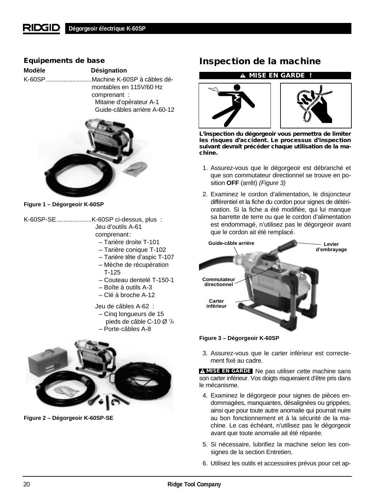#### **Equipements de base**

**Modèle Désignation**

K-60SP..........................Machine K-60SP à câbles démontables en 115V/60 Hz comprenant : Mitaine d'opérateur A-1

Guide-câbles arrière A-60-12



**Figure 1 – Dégorgeoir K-60SP**

K-60SP-SE....................K-60SP ci-dessus, plus : Jeu d'outils A-61 comprenant:

- Tarière droite T-101
- Tarière conique T-102
- Tarière tête d'aspic T-107
- Mèche de récupération T-125
- Couteau dentelé T-150-1
- Boîte à outils A-3
- Clé à broche A-12

Jeu de câbles A-62 :

- Cinq longueurs de 15
	- pieds de câble C-10 Ø <sup>7</sup> /8
- Porte-câbles A-8



**Figure 2 – Dégorgeoir K-60SP-SE**

# **Inspection de la machine**

#### **MISE EN GARDE !**



**L'inspection du dégorgeoir vous permettra de limiter les risques d'accident. Le processus d'inspection suivant devrait précéder chaque utilisation de la machine.**

- 1. Assurez-vous que le dégorgeoir est débranché et que son commutateur directionnel se trouve en position **OFF** (arrêt) (Figure 3)
- 2. Examinez le cordon d'alimentation, le disjoncteur différentiel et la fiche du cordon pour signes de détérioration. Si la fiche a été modifiée, qui lui manque sa barrette de terre ou que le cordon d'alimentation est endommagé, n'utilisez pas le dégorgeoir avant que le cordon ait été remplacé.



**Figure 3 – Dégorgeoir K-60SP**

3. Assurez-vous que le carter inférieur est correctement fixé au cadre.

**MISE EN GARDE** Ne pas utiliser cette machine sans son carter inférieur. Vos doigts risqueraient d'être pris dans le mécanisme.

- 4. Examinez le dégorgeoir pour signes de pièces endommagées, manquantes, désalignées ou grippées, ainsi que pour toute autre anomalie qui pourrait nuire au bon fonctionnement et à la sécurité de la machine. Le cas échéant, n'utilisez pas le dégorgeoir avant que toute anomalie ait été réparée.
- 5. Si nécessaire, lubrifiez la machine selon les consignes de la section Entretien.
- 6. Utilisez les outils et accessoires prévus pour cet ap-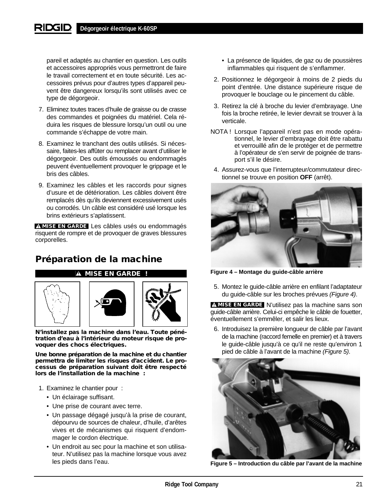pareil et adaptés au chantier en question. Les outils et accessoires appropriés vous permettront de faire le travail correctement et en toute sécurité. Les accessoires prévus pour d'autres types d'appareil peuvent être dangereux lorsqu'ils sont utilisés avec ce type de dégorgeoir.

- 7. Eliminez toutes traces d'huile de graisse ou de crasse des commandes et poignées du matériel. Cela réduira les risques de blessure lorsqu'un outil ou une commande s'échappe de votre main.
- 8. Examinez le tranchant des outils utilisés. Si nécessaire, faites-les affûter ou remplacer avant d'utiliser le dégorgeoir. Des outils émoussés ou endommagés peuvent éventuellement provoquer le grippage et le bris des câbles.
- 9. Examinez les câbles et les raccords pour signes d'usure et de détérioration. Les câbles doivent être remplacés dès qu'ils deviennent excessivement usés ou corrodés. Un câble est considéré usé lorsque les brins extérieurs s'aplatissent.

**MISE EN GARDE** Les câbles usés ou endommagés risquent de rompre et de provoquer de graves blessures corporelles.

# **Préparation de la machine**

## **MISE EN GARDE !**







**N'installez pas la machine dans l'eau. Toute pénétration d'eau à l'intérieur du moteur risque de provoquer des chocs électriques.**

**Une bonne préparation de la machine et du chantier permettra de limiter les risques d'accident. Le processus de préparation suivant doit être respecté lors de l'installation de la machine :**

- 1. Examinez le chantier pour :
	- Un éclairage suffisant.
	- Une prise de courant avec terre.
	- Un passage dégagé jusqu'à la prise de courant, dépourvu de sources de chaleur, d'huile, d'arêtes vives et de mécanismes qui risquent d'endommager le cordon électrique.
	- Un endroit au sec pour la machine et son utilisateur. N'utilisez pas la machine lorsque vous avez les pieds dans l'eau.
- La présence de liquides, de gaz ou de poussières inflammables qui risquent de s'enflammer.
- 2. Positionnez le dégorgeoir à moins de 2 pieds du point d'entrée. Une distance supérieure risque de provoquer le bouclage ou le pincement du câble.
- 3. Retirez la clé à broche du levier d'embrayage. Une fois la broche retirée, le levier devrait se trouver à la verticale.
- NOTA ! Lorsque l'appareil n'est pas en mode opérationnel, le levier d'embrayage doit être rabattu et verrouillé afin de le protéger et de permettre à l'opérateur de s'en servir de poignée de transport s'il le désire.
- 4. Assurez-vous que l'interrupteur/commutateur directionnel se trouve en position **OFF** (arrêt).



**Figure 4 – Montage du guide-câble arrière**

5. Montez le guide-câble arrière en enfilant l'adaptateur du guide-câble sur les broches prévues (Figure 4).

**MISE EN GARDE** N'utilisez pas la machine sans son guide-câble arrière. Celui-ci empêche le câble de fouetter, éventuellement s'emmêler, et salir les lieux.

6. Introduisez la première longueur de câble par l'avant de la machine (raccord femelle en premier) et à travers le guide-câble jusqu'à ce qu'il ne reste qu'environ 1 pied de câble à l'avant de la machine (Figure 5).



**Figure 5 – Introduction du câble par l'avant de la machine**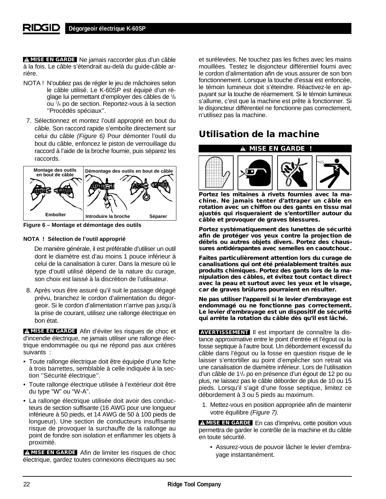**MISE EN GARDE** Ne jamais raccorder plus d'un câble à la fois. Le câble s'étendrait au-delà du guide-câble arrière.

- NOTA ! N'oubliez pas de régler le jeu de mâchoires selon le câble utilisé. Le K-60SP est équipé d'un réglage lui permettant d'employer des câbles de <sup>5</sup>/8 ou 7 /8 po de section. Reportez-vous à la section ''Procédés spéciaux''.
- 7. Sélectionnez et montez l'outil approprié en bout du câble. Son raccord rapide s'emboîte directement sur celui du câble (Figure 6) Pour démonter l'outil du bout du câble, enfoncez le piston de verrouillage du raccord à l'aide de la broche fournie, puis séparez les raccords.



**Figure 6 – Montage et démontage des outils**

#### **NOTA ! Sélection de l'outil approprié**

De manière générale, il est préférable d'utiliser un outil dont le diamètre est d'au moins 1 pouce inférieur à celui de la canalisation à curer. Dans la mesure où le type d'outil utilisé dépend de la nature du curage, son choix est laissé à la discrétion de l'utilisateur.

8. Après vous être assuré qu'il suit le passage dégagé prévu, branchez le cordon d'alimentation du dégorgeoir. Si le cordon d'alimentation n'arrive pas jusqu'à la prise de courant, utilisez une rallonge électrique en bon état.

**MISE EN GARDE** Afin d'éviter les risques de choc et d'incendie électrique, ne jamais utiliser une rallonge électrique endommagée ou qui ne répond pas aux critères suivants :

- Toute rallonge électrique doit être équipée d'une fiche à trois barrettes, semblable à celle indiquée à la section ''Sécurité électrique''.
- Toute rallonge électrique utilisée à l'extérieur doit être du type "W" ou "W-A".
- La rallonge électrique utilisée doit avoir des conducteurs de section suffisante (16 AWG pour une longueur inférieure à 50 pieds, et 14 AWG de 50 à 100 pieds de longueur). Une section de conducteurs insuffisante risque de provoquer la surchauffe de la rallonge au point de fondre son isolation et enflammer les objets à proximité.

**MISE EN GARDE** Afin de limiter les risques de choc électrique, gardez toutes connexions électriques au sec

et surélevées. Ne touchez pas les fiches avec les mains mouillées. Testez le disjoncteur différentiel fourni avec le cordon d'alimentation afin de vous assurer de son bon fonctionnement. Lorsque la touche d'essai est enfoncée, le témoin lumineux doit s'éteindre. Réactivez-le en appuyant sur la touche de réarmement. Si le témoin lumineux s'allume, c'est que la machine est prête à fonctionner. Si le disjoncteur différentiel ne fonctionne pas correctement, n'utilisez pas la machine.

# **Utilisation de la machine**

#### **MISE EN GARDE !**



**Portez les mitaines à rivets fournies avec la machine. Ne jamais tenter d'attraper un câble en rotation avec un chiffon ou des gants en tissu mal ajustés qui risqueraient de s'entortiller autour du câble et provoquer de graves blessures.**

**Portez systématiquement des lunettes de sécurité afin de protéger vos yeux contre la projection de débris ou autres objets divers. Portez des chaussures antidérapantes avec semelles en caoutchouc.**

**Faites particulièrement attention lors du curage de canalisations qui ont été préalablement traités aux produits chimiques. Portez des gants lors de la manipulation des câbles, et évitez tout contact direct avec la peau et surtout avec les yeux et le visage, car de graves brûlures pourraient en résulter.**

**Ne pas utiliser l'appareil si le levier d'embrayage est endommagé ou ne fonctionne pas correctement. Le levier d'embrayage est un dispositif de sécurité qui arrête la rotation du câble dès qu'il est lâché.**

**AVERTISSEMENT** Il est important de connaître la distance approximative entre le point d'entrée et l'égout ou la fosse septique à l'autre bout. Un débordement excessif du câble dans l'égout ou la fosse en question risque de le laisser s'entortiller au point d'empêcher son retrait via une canalisation de diamètre inférieur. Lors de l'utilisation d'un câble de 11 /4 po en présence d'un égout de 12 po ou plus, ne laissez pas le câble déborder de plus de 10 ou 15 pieds. Lorsqu'il s'agit d'une fosse septique, limitez ce débordement à 3 ou 5 pieds au maximum.

1. Mettez-vous en position appropriée afin de maintenir votre équilibre (Figure 7).

**MISE EN GARDE** En cas d'imprévu, cette position vous permettra de garder le contrôle de la machine et du câble en toute sécurité.

• Assurez-vous de pouvoir lâcher le levier d'embrayage instantanément.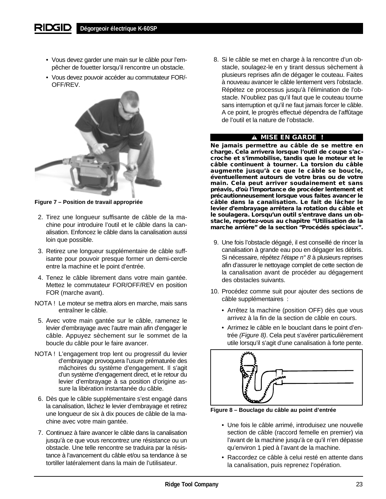- Vous devez garder une main sur le câble pour l'empêcher de fouetter lorsqu'il rencontre un obstacle.
- Vous devez pouvoir accéder au commutateur FOR/- OFF/REV.



**Figure 7 – Position de travail appropriée**

- 2. Tirez une longueur suffisante de câble de la machine pour introduire l'outil et le câble dans la canalisation. Enfoncez le câble dans la canalisation aussi loin que possible.
- 3. Retirez une longueur supplémentaire de câble suffisante pour pouvoir presque former un demi-cercle entre la machine et le point d'entrée.
- 4. Tenez le câble librement dans votre main gantée. Mettez le commutateur FOR/OFF/REV en position FOR (marche avant).
- NOTA ! Le moteur se mettra alors en marche, mais sans entraîner le câble.
- 5. Avec votre main gantée sur le câble, ramenez le levier d'embrayage avec l'autre main afin d'engager le câble. Appuyez sèchement sur le sommet de la boucle du câble pour le faire avancer.
- NOTA ! L'engagement trop lent ou progressif du levier d'embrayage provoquera l'usure prématurée des mâchoires du système d'engagement. Il s'agit d'un système d'engagement direct, et le retour du levier d'embrayage à sa position d'origine assure la libération instantanée du câble.
- 6. Dès que le câble supplémentaire s'est engagé dans la canalisation, lâchez le levier d'embrayage et retirez une longueur de six à dix pouces de câble de la machine avec votre main gantée.
- 7. Continuez à faire avancer le câble dans la canalisation jusqu'à ce que vous rencontrez une résistance ou un obstacle. Une telle rencontre se traduira par la résistance à l'avancement du câble et/ou sa tendance à se tortiller latéralement dans la main de l'utilisateur.

8. Si le câble se met en charge à la rencontre d'un obstacle, soulagez-le en y tirant dessus sèchement à plusieurs reprises afin de dégager le couteau. Faites à nouveau avancer le câble lentement vers l'obstacle. Répétez ce processus jusqu'à l'élimination de l'obstacle. N'oubliez pas qu'il faut que le couteau tourne sans interruption et qu'il ne faut jamais forcer le câble. A ce point, le progrès effectué dépendra de l'affûtage de l'outil et la nature de l'obstacle.

#### **MISE EN GARDE !**

**Ne jamais permettre au câble de se mettre en charge. Cela arrivera lorsque l'outil de coupe s'accroche et s'immobilise, tandis que le moteur et le câble continuent à tourner. La torsion du câble augmente jusqu'à ce que le câble se boucle, éventuellement autours de votre bras ou de votre main. Cela peut arriver soudainement et sans préavis, d'où l'importance de procéder lentement et précautionneusement lorsque vous faites avancer le câble dans la canalisation. Le fait de lâcher le levier d'embrayage arrêtera la rotation du câble et le soulagera. Lorsqu'un outil s'entrave dans un obstacle, reportez-vous au chapitre ''Utilisation de la marche arrière'' de la section ''Procédés spéciaux''.**

- 9. Une fois l'obstacle dégagé, il est conseillé de rincer la canalisation à grande eau pou en dégager les débris. Si nécessaire, répétez *l'étape n° 8* à plusieurs reprises afin d'assurer le nettoyage complet de cette section de la canalisation avant de procéder au dégagement des obstacles suivants.
- 10. Procédez comme suit pour ajouter des sections de câble supplémentaires :
	- Arrêtez la machine (position OFF) dès que vous arrivez à la fin de la section de câble en cours.
	- Arrimez le câble en le bouclant dans le point d'entrée (Figure 8). Cela peut s'avérer particulièrement utile lorsqu'il s'agit d'une canalisation à forte pente.



**Figure 8 – Bouclage du câble au point d'entrée**

- Une fois le câble arrimé, introduisez une nouvelle section de câble (raccord femelle en premier) via l'avant de la machine jusqu'à ce qu'il n'en dépasse qu'environ 1 pied à l'avant de la machine.
- Raccordez ce câble à celui resté en attente dans la canalisation, puis reprenez l'opération.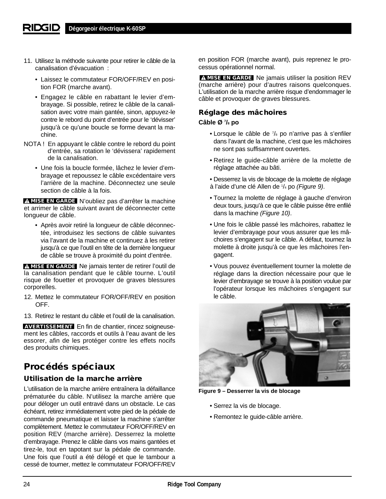- 11. Utilisez la méthode suivante pour retirer le câble de la canalisation d'évacuation :
	- Laissez le commutateur FOR/OFF/REV en position FOR (marche avant).
	- Engagez le câble en rabattant le levier d'embrayage. Si possible, retirez le câble de la canalisation avec votre main gantée, sinon, appuyez-le contre le rebord du point d'entrée pour le 'dévisser' jusqu'à ce qu'une boucle se forme devant la machine.
- NOTA ! En appuyant le câble contre le rebord du point d'entrée, sa rotation le 'dévissera' rapidement de la canalisation.
	- Une fois la boucle formée, lâchez le levier d'embrayage et repoussez le câble excédentaire vers l'arrière de la machine. Déconnectez une seule section de câble à la fois.

**MISE EN GARDE** N'oubliez pas d'arrêter la machine et arrimer le câble suivant avant de déconnecter cette longueur de câble.

• Après avoir retiré la longueur de câble déconnectée, introduisez les sections de câble suivantes via l'avant de la machine et continuez à les retirer jusqu'à ce que l'outil en tête de la dernière longueur de câble se trouve à proximité du point d'entrée.

**MISE EN GARDE** Ne jamais tenter de retirer l'outil de la canalisation pendant que le câble tourne. L'outil risque de fouetter et provoquer de graves blessures corporelles.

- 12. Mettez le commutateur FOR/OFF/REV en position OFF.
- 13. Retirez le restant du câble et l'outil de la canalisation.

**AVERTISSEMENT** En fin de chantier, rincez soigneusement les câbles, raccords et outils à l'eau avant de les essorer, afin de les protéger contre les effets nocifs des produits chimiques.

# **Procédés spéciaux**

### **Utilisation de la marche arrière**

L'utilisation de la marche arrière entraînera la défaillance prématurée du câble. N'utilisez la marche arrière que pour déloger un outil entravé dans un obstacle. Le cas échéant, retirez immédiatement votre pied de la pédale de commande pneumatique et laisser la machine s'arrêter complètement. Mettez le commutateur FOR/OFF/REV en position REV (marche arrière). Desserrez la molette d'embrayage. Prenez le câble dans vos mains gantées et tirez-le, tout en tapotant sur la pédale de commande. Une fois que l'outil a été délogé et que le tambour a cessé de tourner, mettez le commutateur FOR/OFF/REV

en position FOR (marche avant), puis reprenez le processus opérationnel normal.

**MISE EN GARDE** Ne jamais utiliser la position REV (marche arrière) pour d'autres raisons quelconques. L'utilisation de la marche arrière risque d'endommager le câble et provoquer de graves blessures.

#### **Réglage des mâchoires**

#### **Câble Ø 7 /8 po**

- Lorsque le câble de 7 /8 po n'arrive pas à s'enfiler dans l'avant de la machine, c'est que les mâchoires ne sont pas suffisamment ouvertes.
- Retirez le guide-câble arrière de la molette de réglage attachée au bâti.
- Desserrez la vis de blocage de la molette de réglage à l'aide d'une clé Allen de 1/<sub>4</sub> po *(Figure 9)*.
- Tournez la molette de réglage à gauche d'environ deux tours, jusqu'à ce que le câble puisse être enfilé dans la machine (Figure 10).
- Une fois le câble passé les mâchoires, rabattez le levier d'embrayage pour vous assurer que les mâchoires s'engagent sur le câble. A défaut, tournez la molette à droite jusqu'à ce que les mâchoires l'engagent.
- Vous pouvez éventuellement tourner la molette de réglage dans la direction nécessaire pour que le levier d'embrayage se trouve à la position voulue par l'opérateur lorsque les mâchoires s'engagent sur le câble.



**Figure 9 – Desserrer la vis de blocage**

- Serrez la vis de blocage.
- Remontez le guide-câble arrière.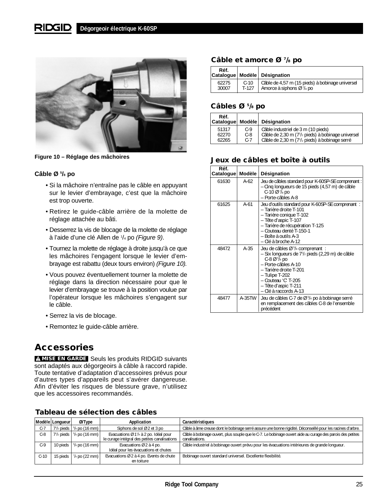

**Figure 10 – Réglage des mâchoires**

#### **Câble Ø 5 /8 po**

- Si la mâchoire n'entraîne pas le câble en appuyant sur le levier d'embrayage, c'est que la mâchoire est trop ouverte.
- Retirez le guide-câble arrière de la molette de réglage attachée au bâti.
- Desserrez la vis de blocage de la molette de réglage à l'aide d'une clé Allen de <sup>1</sup>/<sub>4</sub> po *(Figure 9)*.
- Tournez la molette de réglage à droite jusqu'à ce que les mâchoires l'engagent lorsque le levier d'embrayage est rabattu (deux tours environ) (Figure 10).
- Vous pouvez éventuellement tourner la molette de réglage dans la direction nécessaire pour que le levier d'embrayage se trouve à la position voulue par l'opérateur lorsque les mâchoires s'engagent sur le câble.
- Serrez la vis de blocage.
- Remontez le guide-câble arrière.

## **Accessories**

**MISE EN GARDE** Seuls les produits RIDGID suivants sont adaptés aux dégorgeoirs à câble à raccord rapide. Toute tentative d'adaptation d'accessoires prévus pour d'autres types d'appareils peut s'avérer dangereuse. Afin d'éviter les risques de blessure grave, n'utilisez que les accessoires recommandés.

### **Tableau de sélection des câbles**

#### **Câble et amorce Ø 7 /8 po Réf.** ┱

| 1161. |         | Cataloque   Modèle   Désignation                |
|-------|---------|-------------------------------------------------|
| 62275 | $C-10$  | Câble de 4,57 m (15 pieds) à bobinage universel |
| 30007 | $T-127$ | Amorce à siphons $\varnothing$ $\frac{7}{8}$ po |

## **Câbles Ø 5 /8 po**

| Réf.  |       | Cataloque Modèle Désignation                                               |
|-------|-------|----------------------------------------------------------------------------|
| 51317 | $C-9$ | Câble industriel de 3 m (10 pieds)                                         |
| 62270 | $C-8$ | Câble de 2,30 m (7 <sup>1</sup> / <sub>2</sub> pieds) à bobinage universel |
| 62265 | $C-7$ | Câble de 2,30 m (71/2 pieds) à bobinage serré                              |

## **Jeux de câbles et boîte à outils**

| Réf.<br>Catalogue | Modèle | Désignation                                                                                                                                                                                                                                                               |
|-------------------|--------|---------------------------------------------------------------------------------------------------------------------------------------------------------------------------------------------------------------------------------------------------------------------------|
| 61630             | $A-62$ | Jeu de câbles standard pour K-60SP-SE comprenant :<br>- Cing longueurs de 15 pieds (4,57 m) de câble<br>$C-100$ // <sub>8</sub> po<br>- Porte-câbles A-8                                                                                                                  |
| 61625             | $A-61$ | Jeu d'outils standard pour K-60SP-SE comprenant :<br>- Tarière droite T-101<br>- Tarière conique T-102<br>- Tête d'aspic T-107<br>- Tarière de récupération T-125<br>- Couteau denté T-150-1<br>- Boîte à outils A-3<br>– Clé à broche A-12                               |
| 48472             | $A-35$ | Jeu de câbles Ø 5/8 comprenant :<br>- Six longueurs de 7 <sup>1</sup> /2 pieds (2,29 m) de câble<br>$C-8$ Ø $\sqrt[5]{8}$ po<br>- Porte-câbles A-10<br>- Tarière droite T-201<br>- Tulipe T-202<br>- Couteau 'C' T-205<br>- Tête d'aspic T-211<br>$-$ Clé à raccords A-13 |
| 48477             | A-35TW | Jeu de câbles C-7 de Ø <sup>5</sup> /8 po à bobinage serré<br>en remplacement des câbles C-8 de l'ensemble<br>précédent                                                                                                                                                   |

|        | Modèle Longueur      | Ø/Type                    | Application                                                                           | Caractéristiques                                                                                                            |
|--------|----------------------|---------------------------|---------------------------------------------------------------------------------------|-----------------------------------------------------------------------------------------------------------------------------|
| $C-7$  | $7\frac{1}{2}$ pieds | $5\frac{1}{8}$ po (16 mm) | Siphons de sol Ø 2 et 3 po                                                            | Câble à âme creuse dont le bobinage serré assure une bonne rigidité. Déconseillé pour les racines d'arbre.                  |
| $C-8$  | $7\frac{1}{2}$ pieds | $5\frac{1}{8}$ po (16 mm) | Evacuations Ø 11/4 à 2 po. Idéal pour<br>le curage intégral des petites canalisations | Câble à bobinage ouvert, plus souple que le C-7. Le bobinage ouvert aide au curage des parois des petites<br>canalisations. |
| $C-9$  | 10 pieds             | $5\frac{1}{8}$ po (16 mm) | Evacuations Ø 2 à 4 po.<br>Idéal pour les évacuations et chutes                       | Câble industriel à bobinage ouvert prévu pour les évacuations intérieures de grande longueur.                               |
| $C-10$ | 15 pieds             | $\frac{7}{8}$ po (22 mm)  | Evacuations Ø 2 à 4 po. Events de chute<br>en toiture                                 | Bobinage ouvert standard universel. Excellente flexibilité.                                                                 |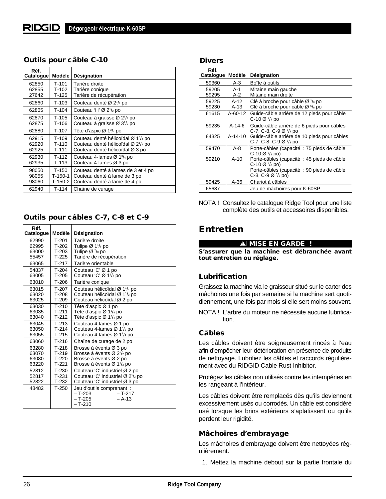#### **Outils pour câble C-10**

| Réf.<br>Catalogue | Modèle    | Désignation                                                    |
|-------------------|-----------|----------------------------------------------------------------|
| 62850             | $T-101$   | Tarière droite                                                 |
| 62855             | T-102     | Tarière conique                                                |
| 27642             | T-125     | Tarière de récupération                                        |
| 62860             | T-103     | Couteau denté Ø 2 <sup>1</sup> /2 po                           |
| 62865             | T-104     | Couteau 'H' $\varnothing$ 2 <sup>1</sup> / <sub>2</sub> po     |
| 62870             | T-105     | Couteau à graisse Ø 21/2 po                                    |
| 62875             | T-106     | Couteau à graisse Ø 3 <sup>1</sup> /2 po                       |
| 62880             | T-107     | Tête d'aspic Ø 1 $\frac{3}{4}$ po                              |
| 62915             | T-109     | Couteau denté hélicoïdal Ø 1 <sup>3</sup> /4 po                |
| 62920             | T-110     | Couteau denté hélicoïdal Ø 2 <sup>1</sup> /4 po                |
| 62925             | T-111     | Couteau denté hélicoïdal Ø 3 po                                |
| 62930             | $T-112$   | Couteau 4-lames $\varnothing$ 1 <sup>3</sup> / <sub>4</sub> po |
| 62935             | T-113     | Couteau 4-lames Ø 3 po                                         |
| 98050             | T-150     | Couteau denté à lames de 3 et 4 po                             |
| 98055             | $T-150-1$ | Couteau denté à lame de 3 po                                   |
| 98060             | T-150-2   | Couteau denté à lame de 4 po                                   |
| 62940             | $T-114$   | Chaîne de curage                                               |

## **Outils pour câbles C-7, C-8 et C-9**

| Réf.<br>Catalogue | Modèle  | Désignation                                                                                 |
|-------------------|---------|---------------------------------------------------------------------------------------------|
| 62990             | T-201   | Tarière droite                                                                              |
| 62995             | $T-202$ | Tulipe $\varnothing$ 1 <sup>1</sup> / <sub>8</sub> po                                       |
| 63000             | T-203   | Tulipe Ø 7/8 po                                                                             |
| 55457             | T-225   | Tarière de récupération                                                                     |
| 63065             | T-217   | Tarière orientable                                                                          |
| 54837             | $T-204$ | Couteau 'C' Ø 1 po                                                                          |
| 63005             | $T-205$ | Couteau 'C' Ø 1 <sup>3</sup> /8 po                                                          |
| 63010             | $T-206$ | Tarière conique                                                                             |
| 63015             | $T-207$ | Couteau hélicoïdal Ø 1 <sup>1</sup> /4 po                                                   |
| 63020             | $T-208$ | Couteau hélicoïdal Ø 11/2 po                                                                |
| 63025             | $T-209$ | Couteau hélicoïdal Ø 2 po                                                                   |
| 63030             | $T-210$ | Tête d'aspic Ø 1 po                                                                         |
| 63035             | $T-211$ | Tête d'aspic Ø 1 <sup>3</sup> /8 po                                                         |
| 63040             | T-212   | Tête d'aspic Ø 1 <sup>3</sup> / <sub>4</sub> po                                             |
| 63045             | $T-213$ | Couteau 4-lames Ø 1 po                                                                      |
| 63050             | $T-214$ | Couteau 4-lames $\varnothing$ 1 <sup>3</sup> /8 po                                          |
| 63055             | $T-215$ | Couteau 4-lames $\varnothing$ 1 $\frac{3}{4}$ po                                            |
| 63060             | $T-216$ | Chaîne de curage de 2 po                                                                    |
| 63280             | $T-218$ | Brosse à évents Ø 3 po                                                                      |
| 63070             | $T-219$ | Brosse à évents Ø 21/2 po                                                                   |
| 63080             | T-220   | Brosse à évents Ø 2 po                                                                      |
| 63220             | $T-221$ | Brosse à évents Ø 11/2 po                                                                   |
| 52812             | T-230   | Couteau 'C' industriel Ø 2 po                                                               |
| 52817             | T-231   | Couteau 'C' industriel Ø 2 <sup>1</sup> /2 po                                               |
| 52822             | T-232   | Couteau 'C' industriel Ø 3 po                                                               |
| 48482             | $T-250$ | Jeu d'outils comprenant :<br>$- T - 217$<br>$- T - 203$<br>$- T - 205$<br>– A-13<br>– T-210 |

#### **Divers**

| Réf.<br>Catalogue | Modèle              | <b>Désignation</b>                                                                                                                                                                                                                                                   |
|-------------------|---------------------|----------------------------------------------------------------------------------------------------------------------------------------------------------------------------------------------------------------------------------------------------------------------|
| 59360             | $A-3$               | Boîte à outils                                                                                                                                                                                                                                                       |
| 59205<br>59295    | $A-1$<br>A-2        | Mitaine main gauche<br>Mitaine main droite                                                                                                                                                                                                                           |
| 59225<br>59230    | A-12<br>A-13        | Clé à broche pour câble $\varnothing$ $\frac{7}{8}$ po<br>Clé à broche pour câble $\varnothing$ 5/8 po                                                                                                                                                               |
| 61615             | $A-60-12$           | Guide-câble arrière de 12 pieds pour câble<br>$C-10 \not\!\!\!\!\!\!\!O 7/_8$ po                                                                                                                                                                                     |
| 59235<br>84325    | A-14-6<br>$A-14-10$ | Guide-câble arrière de 6 pieds pour câbles<br>C-7, C-8, C-9 $\varnothing$ $\frac{5}{8}$ po<br>Guide-câble arrière de 10 pieds pour câbles<br>C-7, C-8, C-9 $\varnothing$ $\frac{5}{8}$ po                                                                            |
| 59470<br>59210    | $A - 8$<br>A-10     | Porte-câbles (capacité : 75 pieds de câble<br>$C-10 \varnothing$ // <sub>8</sub> po)<br>Porte-câbles (capacité : 45 pieds de câble<br>$C-10 \varnothing$ $\frac{7}{8}$ po)<br>Porte-câbles (capacité : 90 pieds de câble<br>C-8, C-9 $\varnothing$ $\frac{5}{8}$ po) |
| 59425             | A-36                | Chariot à câbles                                                                                                                                                                                                                                                     |
| 65687             |                     | Jeu de mâchoires pour K-60SP                                                                                                                                                                                                                                         |

NOTA ! Consultez le catalogue Ridge Tool pour une liste complète des outils et accessoires disponibles.

## **Entretien**

#### **MISE EN GARDE !**

**S'assurer que la machine est débranchée avant tout entretien ou réglage.**

#### **Lubrification**

Graissez la machine via le graisseur situé sur le carter des mâchoires une fois par semaine si la machine sert quotidiennement, une fois par mois si elle sert moins souvent.

NOTA ! L'arbre du moteur ne nécessite aucune lubrification.

#### **Câbles**

Les câbles doivent être soigneusement rincés à l'eau afin d'empêcher leur détérioration en présence de produits de nettoyage. Lubrifiez les câbles et raccords régulièrement avec du RIDGID Cable Rust Inhibitor.

Protégez les câbles non utilisés contre les intempéries en les rangeant à l'intérieur.

Les câbles doivent être remplacés dès qu'ils deviennent excessivement usés ou corrodés. Un câble est considéré usé lorsque les brins extérieurs s'aplatissent ou qu'ils perdent leur rigidité.

### **Mâchoires d'embrayage**

Les mâchoires d'embrayage doivent être nettoyées régulièrement.

1. Mettez la machine debout sur la partie frontale du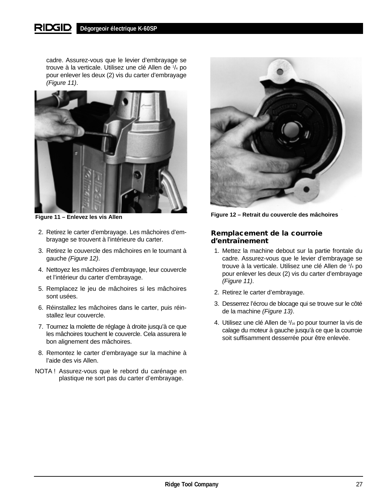#### RIDGID **Dégorgeoir électrique K-60SP**

cadre. Assurez-vous que le levier d'embrayage se trouve à la verticale. Utilisez une clé Allen de 1 /4 po pour enlever les deux (2) vis du carter d'embrayage (Figure 11).



**Figure 11 – Enlevez les vis Allen**

- 2. Retirez le carter d'embrayage. Les mâchoires d'embrayage se trouvent à l'intérieure du carter.
- 3. Retirez le couvercle des mâchoires en le tournant à gauche (Figure 12).
- 4. Nettoyez les mâchoires d'embrayage, leur couvercle et l'intérieur du carter d'embrayage.
- 5. Remplacez le jeu de mâchoires si les mâchoires sont usées.
- 6. Réinstallez les mâchoires dans le carter, puis réinstallez leur couvercle.
- 7. Tournez la molette de réglage à droite jusqu'à ce que les mâchoires touchent le couvercle. Cela assurera le bon alignement des mâchoires.
- 8. Remontez le carter d'embrayage sur la machine à l'aide des vis Allen.
- NOTA ! Assurez-vous que le rebord du carénage en plastique ne sort pas du carter d'embrayage.



**Figure 12 – Retrait du couvercle des mâchoires**

#### **Remplacement de la courroie d'entraînement**

- 1. Mettez la machine debout sur la partie frontale du cadre. Assurez-vous que le levier d'embrayage se trouve à la verticale. Utilisez une clé Allen de 1 /4 po pour enlever les deux (2) vis du carter d'embrayage (Figure 11).
- 2. Retirez le carter d'embrayage.
- 3. Desserrez l'écrou de blocage qui se trouve sur le côté de la machine (Figure 13).
- 4. Utilisez une clé Allen de 3/16 po pour tourner la vis de calage du moteur à gauche jusqu'à ce que la courroie soit suffisamment desserrée pour être enlevée.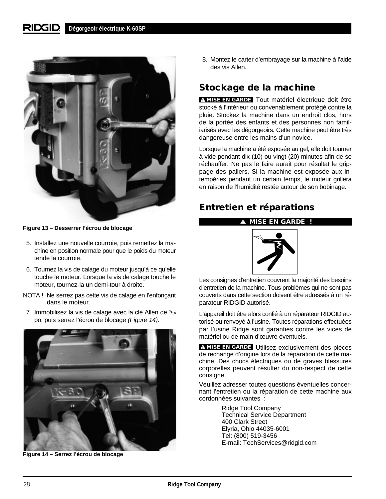

**Figure 13 – Desserrer l'écrou de blocage**

- 5. Installez une nouvelle courroie, puis remettez la machine en position normale pour que le poids du moteur tende la courroie.
- 6. Tournez la vis de calage du moteur jusqu'à ce qu'elle touche le moteur. Lorsque la vis de calage touche le moteur, tournez-la un demi-tour à droite.
- NOTA ! Ne serrez pas cette vis de calage en l'enfonçant dans le moteur.
- 7. Immobilisez la vis de calage avec la clé Allen de  $\frac{3}{16}$ po, puis serrez l'écrou de blocage (Figure 14).



**Figure 14 – Serrez l'écrou de blocage**

8. Montez le carter d'embrayage sur la machine à l'aide des vis Allen.

# **Stockage de la machine**

**MISE EN GARDE** Tout matériel électrique doit être stocké à l'intérieur ou convenablement protégé contre la pluie. Stockez la machine dans un endroit clos, hors de la portée des enfants et des personnes non familiarisés avec les dégorgeoirs. Cette machine peut être très dangereuse entre les mains d'un novice.

Lorsque la machine a été exposée au gel, elle doit tourner à vide pendant dix (10) ou vingt (20) minutes afin de se réchauffer. Ne pas le faire aurait pour résultat le grippage des paliers. Si la machine est exposée aux intempéries pendant un certain temps, le moteur grillera en raison de l'humidité restée autour de son bobinage.

# **Entretien et réparations**

#### **MISE EN GARDE !**



Les consignes d'entretien couvrent la majorité des besoins d'entretien de la machine. Tous problèmes qui ne sont pas couverts dans cette section doivent être adressés à un réparateur RIDGID autorisé.

L'appareil doit être alors confié à un réparateur RIDGID autorisé ou renvoyé à l'usine. Toutes réparations effectuées par l'usine Ridge sont garanties contre les vices de matériel ou de main d'œuvre éventuels.

**MISE EN GARDE** Utilisez exclusivement des pièces de rechange d'origine lors de la réparation de cette machine. Des chocs électriques ou de graves blessures corporelles peuvent résulter du non-respect de cette consigne.

Veuillez adresser toutes questions éventuelles concernant l'entretien ou la réparation de cette machine aux cordonnées suivantes :

> Ridge Tool Company Technical Service Department 400 Clark Street Elyria, Ohio 44035-6001 Tel: (800) 519-3456 E-mail: TechServices@ridgid.com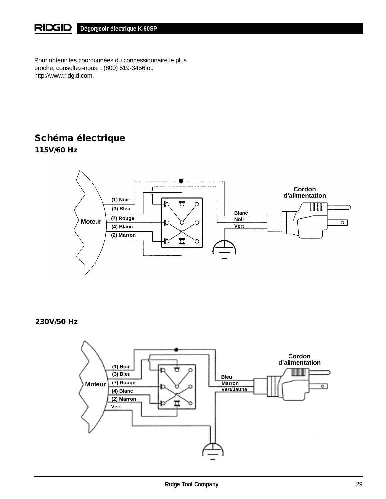# **Dégorgeoir électrique K-60SP**

Pour obtenir les coordonnées du concessionnaire le plus proche, consultez-nous : (800) 519-3456 ou http://www.ridgid.com.

## **Schéma électrique 115V/60 Hz**



## **230V/50 Hz**

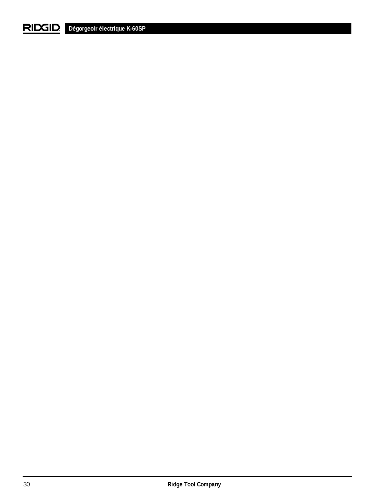**Dégorgeoir électrique K-60SP**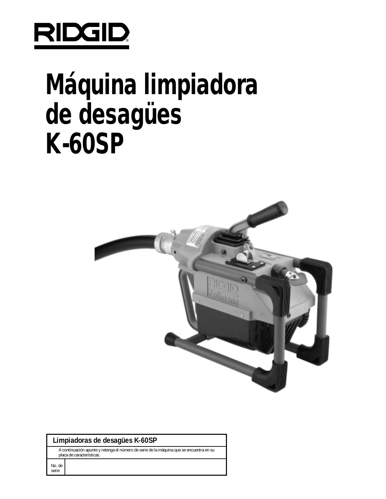

# **Máquina limpiadora de desagües K-60SP**



### **Limpiadoras de desagües K-60SP**

A continuación apunte y retenga el número de serie de la máquina que se encuentra en su placa de características

No. de serie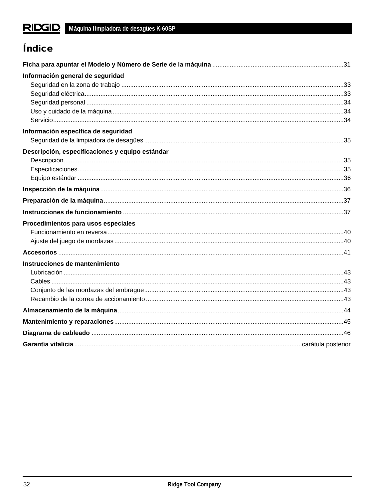# Índice

| Información general de seguridad                |  |
|-------------------------------------------------|--|
|                                                 |  |
|                                                 |  |
|                                                 |  |
|                                                 |  |
|                                                 |  |
| Información específica de seguridad             |  |
|                                                 |  |
| Descripción, especificaciones y equipo estándar |  |
|                                                 |  |
|                                                 |  |
|                                                 |  |
|                                                 |  |
|                                                 |  |
|                                                 |  |
| Procedimientos para usos especiales             |  |
|                                                 |  |
|                                                 |  |
|                                                 |  |
| Instrucciones de mantenimiento                  |  |
|                                                 |  |
|                                                 |  |
|                                                 |  |
|                                                 |  |
|                                                 |  |
|                                                 |  |
|                                                 |  |
|                                                 |  |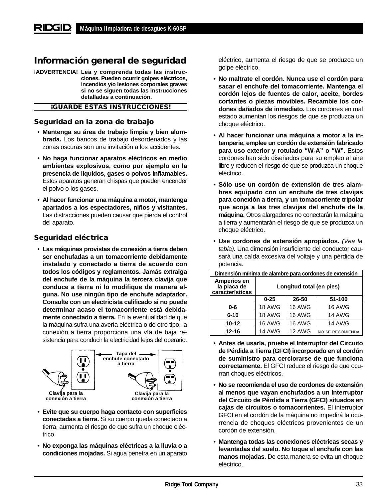## **Información general de seguridad**

**¡ADVERTENCIA! Lea y comprenda todas las instrucciones. Pueden ocurrir golpes eléctricos, incendios y/o lesiones corporales graves si no se siguen todas las instrucciones detalladas a continuación.**

#### **¡GUARDE ESTAS INSTRUCCIONES!**

#### **Seguridad en la zona de trabajo**

- **Mantenga su área de trabajo limpia y bien alumbrada.** Los bancos de trabajo desordenados y las zonas oscuras son una invitación a los accidentes.
- **No haga funcionar aparatos eléctricos en medio ambientes explosivos, como por ejemplo en la presencia de líquidos, gases o polvos inflamables.** Estos aparatos generan chispas que pueden encender el polvo o los gases.
- **Al hacer funcionar una máquina a motor, mantenga apartados a los espectadores, niños y visitantes.** Las distracciones pueden causar que pierda el control del aparato.

#### **Seguridad eléctrica**

• **Las máquinas provistas de conexión a tierra deben ser enchufadas a un tomacorriente debidamente instalado y conectado a tierra de acuerdo con todos los códigos y reglamentos. Jamás extraiga del enchufe de la máquina la tercera clavija que conduce a tierra ni lo modifique de manera alguna. No use ningún tipo de enchufe adaptador. Consulte con un electricista calificado si no puede determinar acaso el tomacorriente está debidamente conectado a tierra.** En la eventualidad de que la máquina sufra una avería eléctrica o de otro tipo, la conexión a tierra proporciona una vía de baja resistencia para conducir la electricidad lejos del operario.



- **Evite que su cuerpo haga contacto con superficies conectadas a tierra.** Si su cuerpo queda conectado a tierra, aumenta el riesgo de que sufra un choque eléctrico.
- **No exponga las máquinas eléctricas a la lluvia o a condiciones mojadas.** Si agua penetra en un aparato

eléctrico, aumenta el riesgo de que se produzca un golpe eléctrico.

- **No maltrate el cordón. Nunca use el cordón para sacar el enchufe del tomacorriente. Mantenga el cordón lejos de fuentes de calor, aceite, bordes cortantes o piezas movibles. Recambie los cordones dañados de inmediato.** Los cordones en mal estado aumentan los riesgos de que se produzca un choque eléctrico.
- **Al hacer funcionar una máquina a motor a la intemperie, emplee un cordón de extensión fabricado para uso exterior y rotulado "W-A" o "W".** Estos cordones han sido diseñados para su empleo al aire libre y reducen el riesgo de que se produzca un choque eléctrico.
- **Sólo use un cordón de extensión de tres alambres equipado con un enchufe de tres clavijas para conexión a tierra, y un tomacorriente tripolar que acoja a las tres clavijas del enchufe de la máquina.** Otros alargadores no conectarán la máquina a tierra y aumentarán el riesgo de que se produzca un choque eléctrico.
- **Use cordones de extensión apropiados.** (Vea la tabla). Una dimensión insuficiente del conductor causará una caída excesiva del voltaje y una pérdida de potencia.

| Dimensión mínima de alambre para cordones de extensión |                          |               |                  |
|--------------------------------------------------------|--------------------------|---------------|------------------|
| Amperios en<br>la placa de<br>características          | Longitud total (en pies) |               |                  |
|                                                        | $0 - 25$                 | 26-50         | 51-100           |
| $0 - 6$                                                | <b>18 AWG</b>            | <b>16 AWG</b> | <b>16 AWG</b>    |
| $6 - 10$                                               | <b>18 AWG</b>            | <b>16 AWG</b> | <b>14 AWG</b>    |
| $10 - 12$                                              | <b>16 AWG</b>            | <b>16 AWG</b> | <b>14 AWG</b>    |
| $12 - 16$                                              | <b>14 AWG</b>            | 12 AWG        | NO SE RECOMIENDA |

- **Antes de usarla, pruebe el Interruptor del Circuito de Pérdida a Tierra (GFCI) incorporado en el cordón de suministro para cerciorarse de que funciona correctamente.** El GFCI reduce el riesgo de que ocurran choques eléctricos.
- **No se recomienda el uso de cordones de extensión al menos que vayan enchufados a un Interruptor del Circuito de Pérdida a Tierra (GFCI) situados en cajas de circuitos o tomacorrientes.** El interruptor GFCI en el cordón de la máquina no impedirá la ocurrencia de choques eléctricos provenientes de un cordón de extensión.
- **Mantenga todas las conexiones eléctricas secas y levantadas del suelo. No toque el enchufe con las manos mojadas.** De esta manera se evita un choque eléctrico.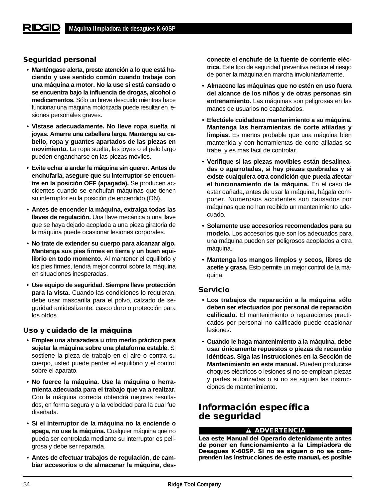#### **Seguridad personal**

- **Manténgase alerta, preste atención a lo que está haciendo y use sentido común cuando trabaje con una máquina a motor. No la use si está cansado o se encuentra bajo la influencia de drogas, alcohol o medicamentos.** Sólo un breve descuido mientras hace funcionar una máquina motorizada puede resultar en lesiones personales graves.
- **Vístase adecuadamente. No lleve ropa suelta ni joyas. Amarre una cabellera larga. Mantenga su cabello, ropa y guantes apartados de las piezas en movimiento.** La ropa suelta, las joyas o el pelo largo pueden engancharse en las piezas móviles.
- **Evite echar a andar la máquina sin querer. Antes de enchufarla, asegure que su interruptor se encuentre en la posición OFF (apagada).** Se producen accidentes cuando se enchufan máquinas que tienen su interruptor en la posición de encendido (ON).
- **Antes de encender la máquina, extraiga todas las llaves de regulación.** Una llave mecánica o una llave que se haya dejado acoplada a una pieza giratoria de la máquina puede ocasionar lesiones corporales.
- **No trate de extender su cuerpo para alcanzar algo. Mantenga sus pies firmes en tierra y un buen equilibrio en todo momento.** Al mantener el equilibrio y los pies firmes, tendrá mejor control sobre la máquina en situaciones inesperadas.
- **Use equipo de seguridad. Siempre lleve protección para la vista.** Cuando las condiciones lo requieran, debe usar mascarilla para el polvo, calzado de seguridad antideslizante, casco duro o protección para los oídos.

#### **Uso y cuidado de la máquina**

- **Emplee una abrazadera u otro medio práctico para sujetar la máquina sobre una plataforma estable.** Si sostiene la pieza de trabajo en el aire o contra su cuerpo, usted puede perder el equilibrio y el control sobre el aparato.
- **No fuerce la máquina. Use la máquina o herramienta adecuada para el trabajo que va a realizar.** Con la máquina correcta obtendrá mejores resultados, en forma segura y a la velocidad para la cual fue diseñada.
- **Si el interruptor de la máquina no la enciende o apaga, no use la máquina.** Cualquier máquina que no pueda ser controlada mediante su interruptor es peligrosa y debe ser reparada.
- **Antes de efectuar trabajos de regulación, de cambiar accesorios o de almacenar la máquina, des-**

**conecte el enchufe de la fuente de corriente eléctrica.** Este tipo de seguridad preventiva reduce el riesgo de poner la máquina en marcha involuntariamente.

- **Almacene las máquinas que no estén en uso fuera del alcance de los niños y de otras personas sin entrenamiento.** Las máquinas son peligrosas en las manos de usuarios no capacitados.
- **Efectúele cuidadoso mantenimiento a su máquina. Mantenga las herramientas de corte afiladas y limpias.** Es menos probable que una máquina bien mantenida y con herramientas de corte afiladas se trabe, y es más fácil de controlar.
- **Verifique si las piezas movibles están desalineadas o agarrotadas, si hay piezas quebradas y si existe cualquiera otra condición que pueda afectar el funcionamiento de la máquina.** En el caso de estar dañada, antes de usar la máquina, hágala componer. Numerosos accidentes son causados por máquinas que no han recibido un mantenimiento adecuado.
- **Solamente use accesorios recomendados para su modelo.** Los accesorios que son los adecuados para una máquina pueden ser peligrosos acoplados a otra máquina.
- **Mantenga los mangos limpios y secos, libres de aceite y grasa.** Esto permite un mejor control de la máquina.

#### **Servicio**

- **Los trabajos de reparación a la máquina sólo deben ser efectuados por personal de reparación calificado.** El mantenimiento o reparaciones practicados por personal no calificado puede ocasionar lesiones.
- **Cuando le haga mantenimiento a la máquina, debe usar únicamente repuestos o piezas de recambio idénticas. Siga las instrucciones en la Sección de Mantenimiento en este manual.** Pueden producirse choques eléctricos o lesiones si no se emplean piezas y partes autorizadas o si no se siguen las instrucciones de mantenimiento.

## **Información específica de seguridad**

#### **ADVERTENCIA**

**Lea este Manual del Operario detenidamente antes de poner en funcionamiento a la Limpiadora de Desagües K-60SP. Si no se siguen o no se comprenden las instrucciones de este manual, es posible**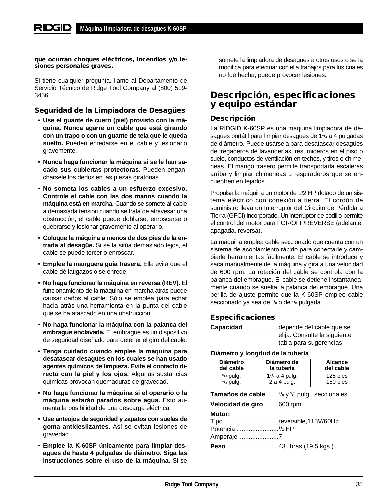**que ocurran choques eléctricos, incendios y/o lesiones personales graves.**

Si tiene cualquier pregunta, llame al Departamento de Servicio Técnico de Ridge Tool Company al (800) 519- 3456.

#### **Seguridad de la Limpiadora de Desagües**

- **Use el guante de cuero (piel) provisto con la máquina. Nunca agarre un cable que está girando con un trapo o con un guante de tela que le queda suelto.** Pueden enredarse en el cable y lesionarlo gravemente.
- **Nunca haga funcionar la máquina si se le han sacado sus cubiertas protectoras.** Pueden enganchársele los dedos en las piezas giratorias.
- **No someta los cables a un esfuerzo excesivo. Controle el cable con las dos manos cuando la máquina está en marcha.** Cuando se somete al cable a demasiada tensión cuando se trata de atravesar una obstrucción, el cable puede doblarse, enroscarse o quebrarse y lesionar gravemente al operario.
- **Coloque la máquina a menos de dos pies de la entrada al desagüe.** Si se la sitúa demasiado lejos, el cable se puede torcer o enroscar.
- **Emplee la manguera guía trasera.** Ella evita que el cable dé latigazos o se enrede.
- **No haga funcionar la máquina en reversa (REV).** El funcionamiento de la máquina en marcha atrás puede causar daños al cable. Sólo se emplea para echar hacia atrás una herramienta en la punta del cable que se ha atascado en una obstrucción.
- **No haga funcionar la máquina con la palanca del embrague enclavada.** El embrague es un dispositivo de seguridad diseñado para detener el giro del cable.
- **Tenga cuidado cuando emplee la máquina para desatascar desagües en los cuales se han usado agentes químicos de limpieza. Evite el contacto directo con la piel y los ojos.** Algunas sustancias químicas provocan quemaduras de gravedad.
- **No haga funcionar la máquina si el operario o la máquina estarán parados sobre agua.** Esto aumenta la posibilidad de una descarga eléctrica.
- **Use anteojos de seguridad y zapatos con suelas de goma antideslizantes.** Así se evitan lesiones de gravedad.
- **Emplee la K-60SP únicamente para limpiar desagües de hasta 4 pulgadas de diámetro. Siga las instrucciones sobre el uso de la máquina.** Si se

somete la limpiadora de desagües a otros usos o se la modifica para efectuar con ella trabajos para los cuales no fue hecha, puede provocar lesiones.

## **Descripción, especificaciones y equipo estándar**

#### **Descripción**

La RIDGID K-60SP es una máquina limpiadora de desagües portátil para limpiar desagües de 11 /4 a 4 pulgadas de diámetro. Puede usársela para desatascar desagües de fregaderos de lavanderías, resumideros en el piso o suelo, conductos de ventilación en techos, y tiros o chimeneas. El mango trasero permite transportarla escaleras arriba y limpiar chimeneas o respiraderos que se encuentren en tejados.

Propulsa la máquina un motor de 1/2 HP dotado de un sistema eléctrico con conexión a tierra. El cordón de suministro lleva un Interruptor del Circuito de Pérdida a Tierra (GFCI) incorporado. Un interruptor de codillo permite el control del motor para FOR/OFF/REVERSE (adelante, apagada, reversa).

La máquina emplea cable seccionado que cuenta con un sistema de acoplamiento rápido para conectarle y cambiarle herramientas fácilmente. El cable se introduce y saca manualmente de la máquina y gira a una velocidad de 600 rpm. La rotación del cable se controla con la palanca del embrague. El cable se detiene instantáneamente cuando se suelta la palanca del embrague. Una perilla de ajuste permite que la K-60SP emplee cable seccionado ya sea de 5 /8 o de 7 /8 pulgada.

#### **Especificaciones**

| Capacidad depende del cable que se |
|------------------------------------|
| elija. Consulte la siguiente       |
| tabla para sugerencias.            |

#### **Diámetro y longitud de la tubería**

| <b>Diámetro</b>     | Diámetro de              | <b>Alcance</b> |
|---------------------|--------------------------|----------------|
| del cable           | la tubería               | del cable      |
| $\frac{5}{8}$ pulg. | $1\frac{1}{4}$ a 4 pulg. | 125 pies       |
| $\frac{1}{2}$ pulg. | 2a4 pulg.                | 150 pies       |

**Tamaños de cable** .......7 /8 y 5 /8 pulg., seccionales

**Velocidad de giro** ........600 rpm

#### **Motor:**

| Tipo reversible,115V/60Hz   |  |
|-----------------------------|--|
| Potencia <sup>1</sup> /2 HP |  |
| Amperaje7                   |  |
|                             |  |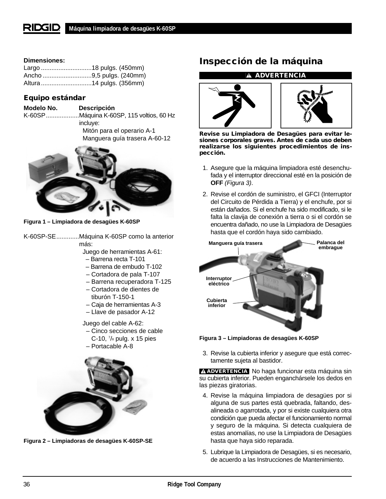#### **Dimensiones:**

| Ancho 9,5 pulgs. (240mm) |
|--------------------------|
| Altura 14 pulgs. (356mm) |

## **Equipo estándar**

**Modelo No. Descripción** K-60SP...................Máquina K-60SP, 115 voltios, 60 Hz incluye:

Mitón para el operario A-1 Manguera guía trasera A-60-12



**Figura 1 – Limpiadora de desagües K-60SP**

K-60SP-SE.............Máquina K-60SP como la anterior más:

Juego de herramientas A-61:

- Barrena recta T-101
- Barrena de embudo T-102
- Cortadora de pala T-107
- Barrena recuperadora T-125
- Cortadora de dientes de tiburón T-150-1
- Caja de herramientas A-3
- Llave de pasador A-12

Juego del cable A-62:

- Cinco secciones de cable C-10,  $\frac{7}{8}$  pulg. x 15 pies – Portacable A-8
- 



**Figura 2 – Limpiadoras de desagües K-60SP-SE**

# **Inspección de la máquina**

#### **ADVERTENCIA**





**Revise su Limpiadora de Desagües para evitar lesiones corporales graves. Antes de cada uso deben realizarse los siguientes procedimientos de inspección.**

- 1. Asegure que la máquina limpiadora esté desenchufada y el interruptor direccional esté en la posición de **OFF** (Figura 3).
- 2. Revise el cordón de suministro, el GFCI (Interruptor del Circuito de Pérdida a Tierra) y el enchufe, por si están dañados. Si el enchufe ha sido modificado, si le falta la clavija de conexión a tierra o si el cordón se encuentra dañado, no use la Limpiadora de Desagües hasta que el cordón haya sido cambiado.



**Figura 3 – Limpiadoras de desagües K-60SP**

3. Revise la cubierta inferior y asegure que está correctamente sujeta al bastidor.

**ADVERTENCIA** No haga funcionar esta máquina sin su cubierta inferior. Pueden enganchársele los dedos en las piezas giratorias.

- 4. Revise la máquina limpiadora de desagües por si alguna de sus partes está quebrada, faltando, desalineada o agarrotada, y por si existe cualquiera otra condición que pueda afectar el funcionamiento normal y seguro de la máquina. Si detecta cualquiera de estas anomalías, no use la Limpiadora de Desagües hasta que haya sido reparada.
- 5. Lubrique la Limpiadora de Desagües, si es necesario, de acuerdo a las Instrucciones de Mantenimiento.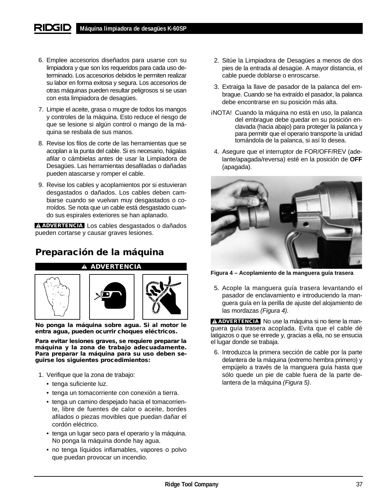- 6. Emplee accesorios diseñados para usarse con su limpiadora y que son los requeridos para cada uso determinado. Los accesorios debidos le permiten realizar su labor en forma exitosa y segura. Los accesorios de otras máquinas pueden resultar peligrosos si se usan con esta limpiadora de desagües.
- 7. Limpie el aceite, grasa o mugre de todos los mangos y controles de la máquina. Esto reduce el riesgo de que se lesione si algún control o mango de la máquina se resbala de sus manos.
- 8. Revise los filos de corte de las herramientas que se acoplan a la punta del cable. Si es necesario, hágalas afilar o cámbielas antes de usar la Limpiadora de Desagües. Las herramientas desafiladas o dañadas pueden atascarse y romper el cable.
- 9. Revise los cables y acoplamientos por si estuvieran desgastados o dañados. Los cables deben cambiarse cuando se vuelvan muy desgastados o corroídos. Se nota que un cable está desgastado cuando sus espirales exteriores se han aplanado.

Los cables desgastados o dañados **ADVERTENCIA** pueden cortarse y causar graves lesiones.

**ADVERTENCIA**

# **Preparación de la máquina**



**No ponga la máquina sobre agua. Si al motor le entra agua, pueden ocurrir choques eléctricos.**

**Para evitar lesiones graves, se requiere preparar la máquina y la zona de trabajo adecuadamente. Para preparar la máquina para su uso deben seguirse los siguientes procedimientos:**

- 1. Verifique que la zona de trabajo:
	- tenga suficiente luz.
	- tenga un tomacorriente con conexión a tierra.
	- tenga un camino despejado hacia el tomacorriente, libre de fuentes de calor o aceite, bordes afilados o piezas movibles que puedan dañar el cordón eléctrico.
	- tenga un lugar seco para el operario y la máquina. No ponga la máquina donde hay agua.
	- no tenga líquidos inflamables, vapores o polvo que puedan provocar un incendio.
- 2. Sitúe la Limpiadora de Desagües a menos de dos pies de la entrada al desagüe. A mayor distancia, el cable puede doblarse o enroscarse.
- 3. Extraiga la llave de pasador de la palanca del embrague. Cuando se ha extraído el pasador, la palanca debe encontrarse en su posición más alta.
- ¡NOTA! Cuando la máquina no está en uso, la palanca del embrague debe quedar en su posición enclavada (hacia abajo) para proteger la palanca y para permitir que el operario transporte la unidad tomándola de la palanca, si así lo desea.
- 4. Asegure que el interruptor de FOR/OFF/REV (adelante/apagada/reversa) esté en la posición de **OFF** (apagada).



**Figura 4 – Acoplamiento de la manguera guía trasera**

5. Acople la manguera guía trasera levantando el pasador de enclavamiento e introduciendo la manguera guía en la perilla de ajuste del alojamiento de las mordazas (Figura 4).

**ADVERTENCIA** No use la máquina si no tiene la manguera guía trasera acoplada. Evita que el cable dé latigazos o que se enrede y, gracias a ella, no se ensucia el lugar donde se trabaja.

6. Introduzca la primera sección de cable por la parte delantera de la máquina (extremo hembra primero) y empújelo a través de la manguera guía hasta que sólo quede un pie de cable fuera de la parte delantera de la máquina (Figura 5).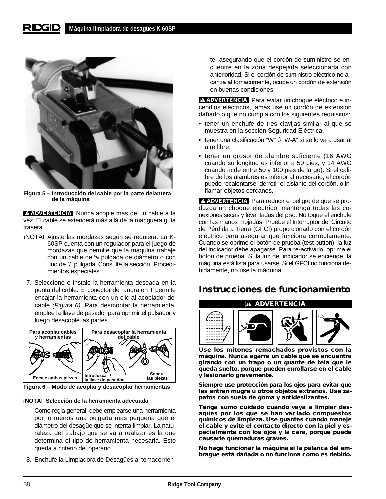

**Figura 5 – Introducción del cable por la parte delantera de la máquina**

**ADVERTENCIA** Nunca acople más de un cable a la vez. El cable se extenderá más allá de la manguera guía trasera.

- ¡NOTA! Ajuste las mordazas según se requiera. La K-60SP cuenta con un regulador para el juego de mordazas que permite que la máquina trabaje con un cable de 5 /8 pulgada de diámetro o con uno de 7 /8 pulgada. Consulte la sección "Procedimientos especiales".
- 7. Seleccione e instale la herramienta deseada en la punta del cable. El conector de ranura en T permite encajar la herramienta con un clic al acoplador del cable (Figura 6). Para desmontar la herramienta, emplee la llave de pasador para oprimir el pulsador y luego desacople las partes.



**Figura 6 – Modo de acoplar y desacoplar herramientas**

#### **¡NOTA! Selección de la herramienta adecuada**

Como regla general, debe emplearse una herramienta por lo menos una pulgada más pequeña que el diámetro del desagüe que se intenta limpiar. La naturaleza del trabajo que se va a realizar es la que determina el tipo de herramienta necesaria. Esto queda a criterio del operario.

8. Enchufe la Limpiadora de Desagües al tomacorrien-

te, asegurando que el cordón de suministro se encuentre en la zona despejada seleccionada con anterioridad. Si el cordón de suministro eléctrico no alcanza al tomacorriente, ocupe un cordón de extensión en buenas condiciones.

**ADVERTENCIA** Para evitar un choque eléctrico e incendios eléctricos, jamás use un cordón de extensión dañado o que no cumpla con los siguientes requisitos:

- tener un enchufe de tres clavijas similar al que se muestra en la sección Seguridad Eléctrica.
- tener una clasificación "W" ó "W-A" si se lo va a usar al aire libre.
- tener un grosor de alambre suficiente (16 AWG cuando su longitud es inferior a 50 pies, y 14 AWG cuando mide entre 50 y 100 pies de largo). Si el calibre de los alambres es inferior al necesario, el cordón puede recalentarse, derretir el aislante del cordón, o inflamar objetos cercanos.

**ADVERTENCIA** Para reducir el peligro de que se produzca un choque eléctrico, mantenga todas las conexiones secas y levantadas del piso. No toque el enchufe con las manos mojadas. Pruebe el Interruptor del Circuito de Pérdida a Tierra (GFCI) proporcionado con el cordón eléctrico para asegurar que funciona correctamente. Cuando se oprime el botón de prueba (test button), la luz del indicador debe apagarse. Para re-activarlo, oprima el botón de prueba. Si la luz del indicador se enciende, la máquina está lista para usarse. Si el GFCI no funciona debidamente, no use la máquina.

## **Instrucciones de funcionamiento**



**Use los mitones remachados provistos con la máquina. Nunca agarre un cable que se encuentra girando con un trapo o un guante de tela que le queda suelto, porque pueden enrollarse en el cable y lesionarlo gravemente.**

**Siempre use protección para los ojos para evitar que les entren mugre u otros objetos extraños. Use zapatos con suela de goma y antideslizantes.**

**Tenga sumo cuidado cuando vaya a limpiar desagües por los que se han vaciado compuestos químicos de limpieza. Use guantes cuando maneje el cable y evite el contacto directo con la piel y especialmente con los ojos y la cara, porque puede causarle quemaduras graves.**

**No haga funcionar la máquina si la palanca del embrague está dañada o no funciona como es debido.**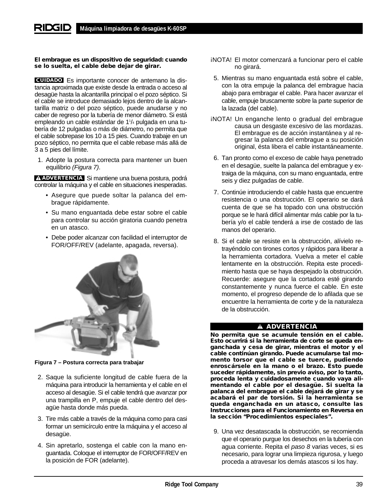**El embrague es un dispositivo de seguridad: cuando se lo suelta, el cable debe dejar de girar.**

Es importante conocer de antemano la dis-**CUIDADO**tancia aproximada que existe desde la entrada o acceso al desagüe hasta la alcantarilla principal o el pozo séptico. Si el cable se introduce demasiado lejos dentro de la alcantarilla matriz o del pozo séptico, puede anudarse y no caber de regreso por la tubería de menor diámetro. Si está empleando un cable estándar de 11 /4 pulgada en una tubería de 12 pulgadas o más de diámetro, no permita que el cable sobrepase los 10 a 15 pies. Cuando trabaje en un pozo séptico, no permita que el cable rebase más allá de 3 a 5 pies del límite.

1. Adopte la postura correcta para mantener un buen equilibrio (Figura 7).

**ADVERTENCIA** Si mantiene una buena postura, podrá controlar la máquina y el cable en situaciones inesperadas.

- Asegure que puede soltar la palanca del embrague rápidamente.
- Su mano enguantada debe estar sobre el cable para controlar su acción giratoria cuando penetra en un atasco.
- Debe poder alcanzar con facilidad el interruptor de FOR/OFF/REV (adelante, apagada, reversa).



**Figura 7 – Postura correcta para trabajar**

- 2. Saque la suficiente longitud de cable fuera de la máquina para introducir la herramienta y el cable en el acceso al desagüe. Si el cable tendrá que avanzar por una trampilla en P, empuje el cable dentro del desagüe hasta donde más pueda.
- 3. Tire más cable a través de la máquina como para casi formar un semicírculo entre la máquina y el acceso al desagüe.
- 4. Sin apretarlo, sostenga el cable con la mano enguantada. Coloque el interruptor de FOR/OFF/REV en la posición de FOR (adelante).
- ¡NOTA! El motor comenzará a funcionar pero el cable no girará.
- 5. Mientras su mano enguantada está sobre el cable, con la otra empuje la palanca del embrague hacia abajo para embragar el cable. Para hacer avanzar el cable, empuje bruscamente sobre la parte superior de la lazada (del cable).
- ¡NOTA! Un enganche lento o gradual del embrague causa un desgaste excesivo de las mordazas. El embrague es de acción instantánea y al regresar la palanca del embrague a su posición original, ésta libera el cable instantáneamente.
- 6. Tan pronto como el exceso de cable haya penetrado en el desagüe, suelte la palanca del embrague y extraiga de la máquina, con su mano enguantada, entre seis y diez pulgadas de cable.
- 7. Continúe introduciendo el cable hasta que encuentre resistencia o una obstrucción. El operario se dará cuenta de que se ha topado con una obstrucción porque se le hará difícil alimentar más cable por la tubería y/o el cable tenderá a irse de costado de las manos del operario.
- 8. Si el cable se resiste en la obstrucción, alívielo retrayéndolo con tirones cortos y rápidos para liberar a la herramienta cortadora. Vuelva a meter el cable lentamente en la obstrucción. Repita este procedimiento hasta que se haya despejado la obstrucción. Recuerde: asegure que la cortadora esté girando constantemente y nunca fuerce el cable. En este momento, el progreso depende de lo afilada que se encuentre la herramienta de corte y de la naturaleza de la obstrucción.

#### **ADVERTENCIA**

**No permita que se acumule tensión en el cable. Esto ocurrirá si la herramienta de corte se queda enganchada y cesa de girar, mientras el motor y el cable continúan girando. Puede acumularse tal momento torsor que el cable se tuerce, pudiendo enroscársele en la mano o el brazo. Esto puede suceder rápidamente, sin previo aviso, por lo tanto, proceda lenta y cuidadosamente cuando vaya alimentando el cable por el desagüe. Si suelta la palanca del embrague el cable dejará de girar y se acabará el par de torsión. Si la herramienta se queda enganchada en un atasco, consulte las Instrucciones para el Funcionamiento en Reversa en la sección "Procedimientos especiales".**

9. Una vez desatascada la obstrucción, se recomienda que el operario purgue los desechos en la tubería con agua corriente. Repita el paso 8 varias veces, si es necesario, para lograr una limpieza rigurosa, y luego proceda a atravesar los demás atascos si los hay.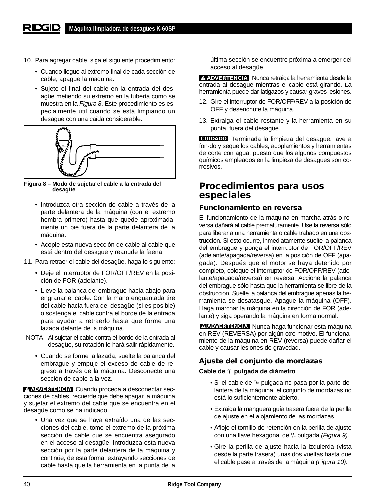- 10. Para agregar cable, siga el siguiente procedimiento:
	- Cuando llegue al extremo final de cada sección de cable, apague la máquina.
	- Sujete el final del cable en la entrada del desagüe metiendo su extremo en la tubería como se muestra en la Figura 8. Este procedimiento es especialmente útil cuando se está limpiando un desagüe con una caída considerable.



**Figura 8 – Modo de sujetar el cable a la entrada del desagüe**

- Introduzca otra sección de cable a través de la parte delantera de la máquina (con el extremo hembra primero) hasta que quede aproximadamente un pie fuera de la parte delantera de la máquina.
- Acople esta nueva sección de cable al cable que está dentro del desagüe y reanude la faena.
- 11. Para retraer el cable del desagüe, haga lo siguiente:
	- Deje el interruptor de FOR/OFF/REV en la posición de FOR (adelante).
	- Lleve la palanca del embrague hacia abajo para engranar el cable. Con la mano enguantada tire del cable hacia fuera del desagüe (si es posible) o sostenga el cable contra el borde de la entrada para ayudar a retraerlo hasta que forme una lazada delante de la máquina.
- ¡NOTA! Al sujetar el cable contra el borde de la entrada al desagüe, su rotación lo hará salir rápidamente.
	- Cuando se forme la lazada, suelte la palanca del embrague y empuje el exceso de cable de regreso a través de la máquina. Desconecte una sección de cable a la vez.

**ADVERTENCIA** Cuando proceda a desconectar secciones de cables, recuerde que debe apagar la máquina y sujetar el extremo del cable que se encuentra en el desagüe como se ha indicado.

• Una vez que se haya extraído una de las secciones del cable, tome el extremo de la próxima sección de cable que se encuentra asegurado en el acceso al desagüe. Introduzca esta nueva sección por la parte delantera de la máquina y continúe, de esta forma, extrayendo secciones de cable hasta que la herramienta en la punta de la última sección se encuentre próxima a emerger del acceso al desagüe.

**ADVERTENCIA** Nunca retraiga la herramienta desde la entrada al desagüe mientras el cable está girando. La herramienta puede dar latigazos y causar graves lesiones.

- 12. Gire el interruptor de FOR/OFF/REV a la posición de OFF y desenchufe la máquina.
- 13. Extraiga el cable restante y la herramienta en su punta, fuera del desagüe.

Terminada la limpieza del desagüe, lave a **CUIDADO** fon-do y seque los cables, acoplamientos y herramientas de corte con agua, puesto que los algunos compuestos químicos empleados en la limpieza de desagües son corrosivos.

## **Procedimientos para usos especiales**

#### **Funcionamiento en reversa**

El funcionamiento de la máquina en marcha atrás o reversa dañará al cable prematuramente. Use la reversa sólo para liberar a una herramienta o cable trabado en una obstrucción. Si esto ocurre, inmediatamente suelte la palanca del embrague y ponga el interruptor de FOR/OFF/REV (adelante/apagada/reversa) en la posición de OFF (apagada). Después que el motor se haya detenido por completo, coloque el interruptor de FOR/OFF/REV (adelante/apagada/reversa) en reversa. Accione la palanca del embrague sólo hasta que la herramienta se libre de la obstrucción. Suelte la palanca del embrague apenas la herramienta se desatasque. Apague la máquina (OFF). Haga marchar la máquina en la dirección de FOR (adelante) y siga operando la máquina en forma normal.

**ADVERTENCIA** Nunca haga funcionar esta máquina en REV (REVERSA) por algún otro motivo. El funcionamiento de la máquina en REV (reversa) puede dañar el cable y causar lesiones de gravedad.

#### **Ajuste del conjunto de mordazas**

#### **Cable de 7 /8 pulgada de diámetro**

- Si el cable de 7/<sub>8</sub> pulgada no pasa por la parte delantera de la máquina, el conjunto de mordazas no está lo suficientemente abierto.
- Extraiga la manguera guía trasera fuera de la perilla de ajuste en el alojamiento de las mordazas.
- Afloje el tornillo de retención en la perilla de ajuste con una llave hexagonal de <sup>1</sup>/<sub>4</sub> pulgada (Figura 9).
- Gire la perilla de ajuste hacia la izquierda (vista desde la parte trasera) unas dos vueltas hasta que el cable pase a través de la máquina (Figura 10).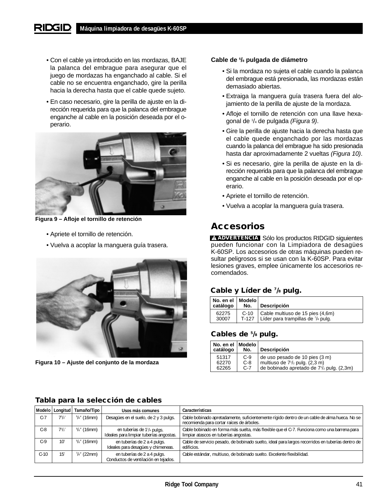- Con el cable ya introducido en las mordazas, BAJE la palanca del embrague para asegurar que el juego de mordazas ha enganchado al cable. Si el cable no se encuentra enganchado, gire la perilla hacia la derecha hasta que el cable quede sujeto.
- En caso necesario, gire la perilla de ajuste en la dirección requerida para que la palanca del embrague enganche al cable en la posición deseada por el operario.



**Figura 9 – Afloje el tornillo de retención**

- Apriete el tornillo de retención.
- Vuelva a acoplar la manguera guía trasera.



**Figura 10 – Ajuste del conjunto de la mordaza**

**Tabla para la selección de cables**

#### **Cable de 5 /8 pulgada de diámetro**

- Si la mordaza no sujeta el cable cuando la palanca del embrague está presionada, las mordazas están demasiado abiertas.
- Extraiga la manguera guía trasera fuera del alojamiento de la perilla de ajuste de la mordaza.
- Afloje el tornillo de retención con una llave hexagonal de 1 /4 de pulgada (Figura 9).
- Gire la perilla de ajuste hacia la derecha hasta que el cable quede enganchado por las mordazas cuando la palanca del embrague ha sido presionada hasta dar aproximadamente 2 vueltas (Figura 10).
- Si es necesario, gire la perilla de ajuste en la dirección requerida para que la palanca del embrague enganche al cable en la posición deseada por el operario.
- Apriete el tornillo de retención.
- Vuelva a acoplar la manguera guía trasera.

## **Accesorios**

**ADVERTENCIA** Sólo los productos RIDGID siguientes pueden funcionar con la Limpiadora de desagües K-60SP. Los accesorios de otras máquinas pueden resultar peligrosos si se usan con la K-60SP. Para evitar lesiones graves, emplee únicamente los accesorios recomendados.

## **Cable y Líder de 7 /8 pulg.**

| No. en el   Modelo <br>catálogo | No.    | <b>Descripción</b>                 |
|---------------------------------|--------|------------------------------------|
| 62275                           | $C-10$ | Cable multiuso de 15 pies (4,6m)   |
| 30007                           | T-127  | Líder para trampillas de 7/8 pulg. |

### **Cables de 5 /8 pulg.**

| No. en el Modelo<br>catálogo | No.   | <b>Descripción</b>                                                 |
|------------------------------|-------|--------------------------------------------------------------------|
| 51317                        | $C-9$ | de uso pesado de 10 pies (3 m)                                     |
| 62270                        | $C-8$ | multiuso de $7\frac{1}{2}$ pulg. (2,3 m)                           |
| 62265                        | $C-7$ | de bobinado apretado de 7 <sup>1</sup> / <sub>2</sub> pulg. (2,3m) |

#### **Modelo Longitud Tamaño/Tipo**  $C-7$  $7^{1}/2'$  $5\frac{1}{8}$ " (16mm)  $C-8$  $7^{1}/2'$  $5\frac{1}{8}$ " (16mm)  $C-9$  10′  $\frac{5}{8}$ " (16mm)  $C-10$  15' /8″ (22mm) **Usos más comunes** Desagües en el suelo, de 2 y 3 pulgs. en tuberías de 11 /4 pulgs. Ideales para limpiar tuberías angostas en tuberías de 2 a 4 pulgs. Ideales para desagües y chimeneas. en tuberías de 2 a 4 pulgs. Conductos de ventilación en tejados. **Características** Cable bobinado apretadamente, suficientemente rígido dentro de un cable de alma hueca. No se recomienda para cortar raíces de árboles. Cable bobinado en forma más suelta, más flexible que el C-7. Funciona como una barrena para limpiar atascos en tuberías angostas. Cable de servicio pesado, de bobinado suelto, ideal para largos recorridos en tuberías dentro de edificios Cable estándar, multiuso, de bobinado suelto. Excelente flexibilidad.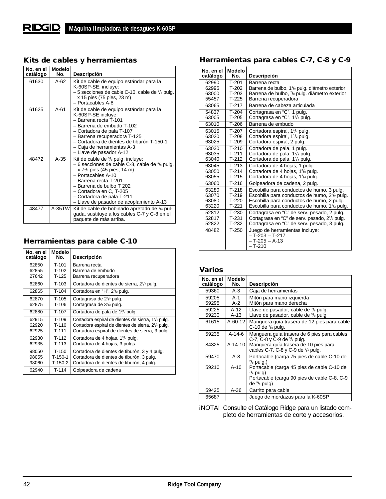#### **Kits de cables y herramientas**

| No. en el<br>catálogo | <b>Modelo</b><br>No. | Descripción                                                                                                                                                                                                                                                                                                                      |
|-----------------------|----------------------|----------------------------------------------------------------------------------------------------------------------------------------------------------------------------------------------------------------------------------------------------------------------------------------------------------------------------------|
| 61630                 | $A-62$               | Kit de cable de equipo estándar para la<br>K-60SP-SE, incluye:<br>$-5$ secciones de cable C-10, cable de $\frac{7}{8}$ pulg.<br>x 15 pies (75 pies, 23 m)<br>- Portacables A-8                                                                                                                                                   |
| 61625                 | $A-61$               | Kit de cable de equipo estándar para la<br>K-60SP-SE incluye:<br>- Barrena recta T-101<br>– Barrena de embudo T-102<br>– Cortadora de pala T-107<br>- Barrena recuperadora T-125<br>- Cortadora de dientes de tiburón T-150-1<br>- Caja de herramientas A-3<br>– Llave de pasador A-12                                           |
| 48472                 | $A-35$               | Kit de cable de $\frac{5}{8}$ pulg. incluye:<br>$-6$ secciones de cable C-8, cable de $\frac{5}{8}$ pulg.<br>$x 7\frac{1}{2}$ pies (45 pies, 14 m)<br>- Portacables A-10<br>- Barrena recta T-201<br>– Barrena de bulbo T 202<br>- Cortadora en C, T-205<br>- Cortadora de pala T-211<br>- Llave de pasador de acoplamiento A-13 |
| 48477                 | $A-35TW$             | Kit de cable de bobinado apretado de 5/8 pul-<br>gada, sustituye a los cables C-7 y C-8 en el<br>paquete de más arriba.                                                                                                                                                                                                          |

#### **Herramientas para cable C-10**

| No. en el<br>catálogo | <b>Modelo</b><br>No. | <b>Descripción</b>                                                          |
|-----------------------|----------------------|-----------------------------------------------------------------------------|
| 62850                 | $T-101$              | Barrena recta                                                               |
| 62855                 | $T-102$              | Barrena de embudo                                                           |
| 27642                 | $T-125$              | Barrena recuperadora                                                        |
| 62860                 | $T-103$              | Cortadora de dientes de sierra, 21/2 pulg.                                  |
| 62865                 | $T-104$              | Cortadora en "H", 2 <sup>1</sup> /2 pulg.                                   |
| 62870                 | $T-105$              | Cortagrasa de 2 <sup>1</sup> / <sub>2</sub> pulg.                           |
| 62875                 | $T-106$              | Cortagrasa de 3 <sup>1</sup> / <sub>2</sub> pulg.                           |
| 62880                 | $T-107$              | Cortadora de pala de 1 <sup>3</sup> / <sub>4</sub> pulg.                    |
| 62915                 | $T-109$              | Cortadora espiral de dientes de sierra, 1 <sup>3</sup> / <sub>4</sub> pulg. |
| 62920                 | $T-110$              | Cortadora espiral de dientes de sierra, 2 <sup>1</sup> /4 pulg.             |
| 62925                 | $T-111$              | Cortadora espiral de dientes de sierra, 3 pulg.                             |
| 62930                 | $T-112$              | Cortadora de 4 hojas, 1 <sup>3</sup> / <sub>4</sub> pulg.                   |
| 62935                 | $T-113$              | Cortadora de 4 hojas, 3 pulgs.                                              |
| 98050                 | $T-150$              | Cortadora de dientes de tiburón, 3 y 4 pulg.                                |
| 98055                 | $T-150-1$            | Cortadora de dientes de tiburón, 3 pulg.                                    |
| 98060                 | T-150-2              | Cortadora de dientes de tiburón, 4 pulg.                                    |
| 62940                 | $T-114$              | Golpeadora de cadena                                                        |

## **Herramientas para cables C-7, C-8 y C-9**

| No. en el<br>catálogo | <b>Modelo</b><br>No. | Descripción                                                                                    |
|-----------------------|----------------------|------------------------------------------------------------------------------------------------|
| 62990                 | $T-201$              | Barrena recta                                                                                  |
| 62995                 | $T-202$              | Barrena de bulbo, 1 <sup>1</sup> / <sub>8</sub> pulg. diámetro exterior                        |
| 63000                 | $T-203$              | Barrena de bulbo, 7/8 pulg. diámetro exterior                                                  |
| 55457                 | $T-225$              | Barrena recuperadora                                                                           |
| 63065                 | $T-217$              | Barrena de cabeza articulada                                                                   |
| 54837                 | $T-204$              | Cortagrasa en "C", 1 pulg.                                                                     |
| 63005                 | $T-205$              | Cortagrasa en "C", 1 <sup>3</sup> /8 pulg.                                                     |
| 63010                 | $T-206$              | Barrena de embudo                                                                              |
| 63015                 | $T-207$              | Cortadora espiral, 1 <sup>1</sup> / <sub>4</sub> pulg.                                         |
| 63020                 | $T-208$              | Cortadora espiral, 1 <sup>1</sup> / <sub>2</sub> pulg.                                         |
| 63025                 | T-209                | Cortadora espiral, 2 pulg.                                                                     |
| 63030                 | $T-210$              | Cortadora de pala, 1 pulg.                                                                     |
| 63035                 | T-211                | Cortadora de pala, 1 <sup>3</sup> / <sub>8</sub> pulg.                                         |
| 63040                 | $T-212$              | Cortadora de pala, 1 <sup>3</sup> / <sub>4</sub> pulg.                                         |
| 63045                 | $T-213$              | Cortadora de 4 hojas, 1 pulg.                                                                  |
| 63050                 | T-214                | Cortadora de 4 hojas, 1 <sup>3</sup> / <sub>8</sub> pulg.                                      |
| 63055                 | $T-215$              | Cortadora de 4 hojas, 1 <sup>3</sup> / <sub>4</sub> pulg.                                      |
| 63060                 | $T-216$              | Golpeadora de cadena, 2 pulg.                                                                  |
| 63280                 | T-218                | Escobilla para conductos de humo, 3 pulg.                                                      |
| 63070                 | $T-219$              | Escobilla para conductos de humo, 2 <sup>1</sup> /2 pulg.                                      |
| 63080                 | $T-220$              | Escobilla para conductos de humo, 2 pulg.                                                      |
| 63220                 | $T-221$              | Escobilla para conductos de humo, 1 <sup>1</sup> /2 pulg.                                      |
| 52812                 | $T-230$              | Cortagrasa en "C" de serv. pesado, 2 pulg.                                                     |
| 52817                 | $T-231$              | Cortagrasa en "C" de serv. pesado, 21/2 pulg.                                                  |
| 52822                 | $T-232$              | Cortagrasa en "C" de serv. pesado, 3 pulg.                                                     |
| 48482                 | $T-250$              | Juego de herramientas incluye:<br>$- T - 203 - T - 217$<br>$- T - 205 - A - 13$<br>$- T - 210$ |

#### **Varios**

| No. en el<br>catálogo | <b>Modelo</b><br>No. | Descripción                                                                                |
|-----------------------|----------------------|--------------------------------------------------------------------------------------------|
| 59360                 | $A-3$                | Caja de herramientas                                                                       |
| 59205<br>59295        | $A-1$<br>$A-2$       | Mitón para mano izquierda<br>Mitón para mano derecha                                       |
| 59225<br>59230        | $A-12$<br>$A-13$     | Llave de pasador, cable de $\frac{7}{8}$ pulg.<br>Llave de pasador, cable de 5/8 pulg      |
| 61615                 | A-60-12              | Manguera guía trasera de 12 pies para cable<br>C-10 de $\frac{7}{8}$ pulg.                 |
| 59235                 | A-14-6               | Manguera guía trasera de 6 pies para cables<br>C-7, $C$ -8 y $C$ -9 de $\frac{5}{8}$ pulg. |
| 84325                 | A-14-10              | Manguera guía trasera de 10 pies para<br>cables C-7, C-8 $\vee$ C-9 de $\frac{5}{8}$ pulg. |
| 59470                 | $A - 8$              | Portacable (carga 75 pies de cable C-10 de<br>$\frac{7}{8}$ pulg.)                         |
| 59210                 | A-10                 | Portacable (carga 45 pies de cable C-10 de<br>$\frac{7}{8}$ pulg)                          |
|                       |                      | Portacable (carga 90 pies de cable C-8, C-9<br>de $\frac{5}{8}$ pulg)                      |
| 59425                 | A-36                 | Carrito para cable                                                                         |
| 65687                 |                      | Juego de mordazas para la K-60SP                                                           |

¡NOTA! Consulte el Catálogo Ridge para un listado completo de herramientas de corte y accesorios.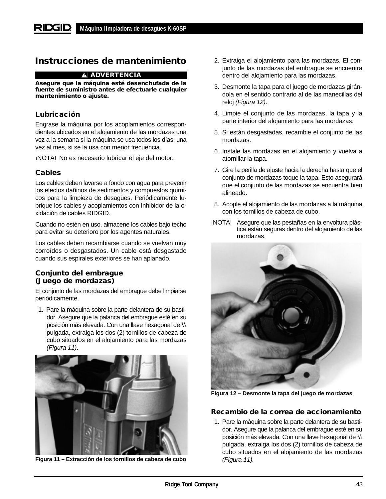## **Instrucciones de mantenimiento**

#### **ADVERTENCIA**

**Asegure que la máquina esté desenchufada de la fuente de suministro antes de efectuarle cualquier mantenimiento o ajuste.**

## **Lubricación**

Engrase la máquina por los acoplamientos correspondientes ubicados en el alojamiento de las mordazas una vez a la semana si la máquina se usa todos los días; una vez al mes, si se la usa con menor frecuencia.

¡NOTA! No es necesario lubricar el eje del motor.

### **Cables**

Los cables deben lavarse a fondo con agua para prevenir los efectos dañinos de sedimentos y compuestos químicos para la limpieza de desagües. Periódicamente lubrique los cables y acoplamientos con Inhibidor de la oxidación de cables RIDGID.

Cuando no estén en uso, almacene los cables bajo techo para evitar su deterioro por los agentes naturales.

Los cables deben recambiarse cuando se vuelvan muy corroídos o desgastados. Un cable está desgastado cuando sus espirales exteriores se han aplanado.

#### **Conjunto del embrague (Juego de mordazas)**

El conjunto de las mordazas del embrague debe limpiarse periódicamente.

1. Pare la máquina sobre la parte delantera de su bastidor. Asegure que la palanca del embrague esté en su posición más elevada. Con una llave hexagonal de 1 /4 pulgada, extraiga los dos (2) tornillos de cabeza de cubo situados en el alojamiento para las mordazas (Figura 11).



**Figura 11 – Extracción de los tornillos de cabeza de cubo**

- 2. Extraiga el alojamiento para las mordazas. El conjunto de las mordazas del embrague se encuentra dentro del alojamiento para las mordazas.
- 3. Desmonte la tapa para el juego de mordazas girándola en el sentido contrario al de las manecillas del reloj (Figura 12).
- 4. Limpie el conjunto de las mordazas, la tapa y la parte interior del alojamiento para las mordazas.
- 5. Si están desgastadas, recambie el conjunto de las mordazas.
- 6. Instale las mordazas en el alojamiento y vuelva a atornillar la tapa.
- 7. Gire la perilla de ajuste hacia la derecha hasta que el conjunto de mordazas toque la tapa. Esto asegurará que el conjunto de las mordazas se encuentra bien alineado.
- 8. Acople el alojamiento de las mordazas a la máquina con los tornillos de cabeza de cubo.
- ¡NOTA! Asegure que las pestañas en la envoltura plástica están seguras dentro del alojamiento de las mordazas.



**Figura 12 – Desmonte la tapa del juego de mordazas**

#### **Recambio de la correa de accionamiento**

1. Pare la máquina sobre la parte delantera de su bastidor. Asegure que la palanca del embrague esté en su posición más elevada. Con una llave hexagonal de 1 /4 pulgada, extraiga los dos (2) tornillos de cabeza de cubo situados en el alojamiento de las mordazas (Figura 11).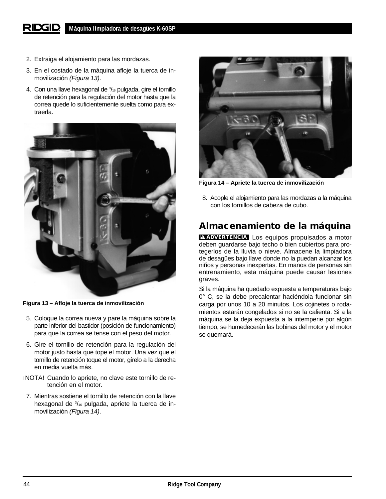- 2. Extraiga el alojamiento para las mordazas.
- 3. En el costado de la máquina afloje la tuerca de inmovilización (Figura 13).
- 4. Con una llave hexagonal de  $\frac{3}{16}$  pulgada, gire el tornillo de retención para la regulación del motor hasta que la correa quede lo suficientemente suelta como para extraerla.



**Figura 13 – Afloje la tuerca de inmovilización** 

- 5. Coloque la correa nueva y pare la máquina sobre la parte inferior del bastidor (posición de funcionamiento) para que la correa se tense con el peso del motor.
- 6. Gire el tornillo de retención para la regulación del motor justo hasta que tope el motor. Una vez que el tornillo de retención toque el motor, gírelo a la derecha en media vuelta más.
- ¡NOTA! Cuando lo apriete, no clave este tornillo de retención en el motor.
- 7. Mientras sostiene el tornillo de retención con la llave hexagonal de  $\frac{3}{16}$  pulgada, apriete la tuerca de inmovilización (Figura 14).



**Figura 14 – Apriete la tuerca de inmovilización**

8. Acople el alojamiento para las mordazas a la máquina con los tornillos de cabeza de cubo.

# **Almacenamiento de la máquina**

**ADVERTENCIA** Los equipos propulsados a motor deben guardarse bajo techo o bien cubiertos para protegerlos de la lluvia o nieve. Almacene la limpiadora de desagües bajo llave donde no la puedan alcanzar los niños y personas inexpertas. En manos de personas sin entrenamiento, esta máquina puede causar lesiones graves.

Si la máquina ha quedado expuesta a temperaturas bajo 0° C, se la debe precalentar haciéndola funcionar sin carga por unos 10 a 20 minutos. Los cojinetes o rodamientos estarán congelados si no se la calienta. Si a la máquina se la deja expuesta a la intemperie por algún tiempo, se humedecerán las bobinas del motor y el motor se quemará.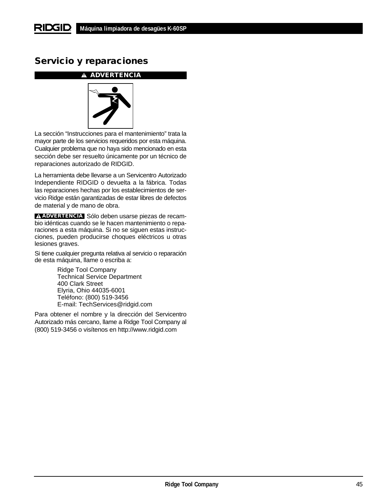# **Servicio y reparaciones**



La sección "Instrucciones para el mantenimiento" trata la mayor parte de los servicios requeridos por esta máquina. Cualquier problema que no haya sido mencionado en esta sección debe ser resuelto únicamente por un técnico de reparaciones autorizado de RIDGID.

La herramienta debe llevarse a un Servicentro Autorizado Independiente RIDGID o devuelta a la fábrica. Todas las reparaciones hechas por los establecimientos de servicio Ridge están garantizadas de estar libres de defectos de material y de mano de obra.

**ADVERTENCIA** Sólo deben usarse piezas de recambio idénticas cuando se le hacen mantenimiento o reparaciones a esta máquina. Si no se siguen estas instrucciones, pueden producirse choques eléctricos u otras lesiones graves.

Si tiene cualquier pregunta relativa al servicio o reparación de esta máquina, llame o escriba a:

> Ridge Tool Company Technical Service Department 400 Clark Street Elyria, Ohio 44035-6001 Teléfono: (800) 519-3456 E-mail: TechServices@ridgid.com

Para obtener el nombre y la dirección del Servicentro Autorizado más cercano, llame a Ridge Tool Company al (800) 519-3456 o visítenos en http://www.ridgid.com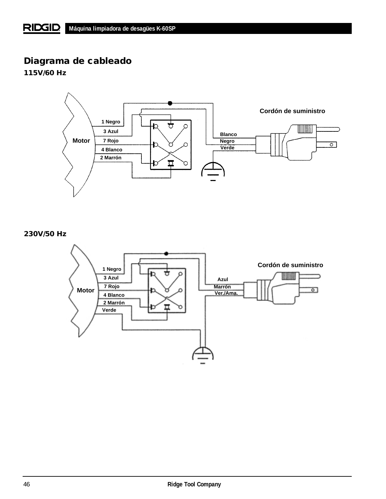# **Diagrama de cableado**

**115V/60 Hz**



## **230V/50 Hz**

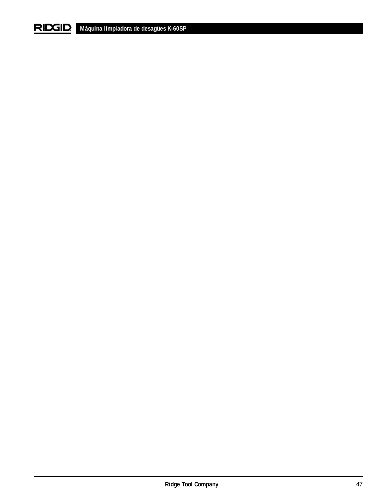